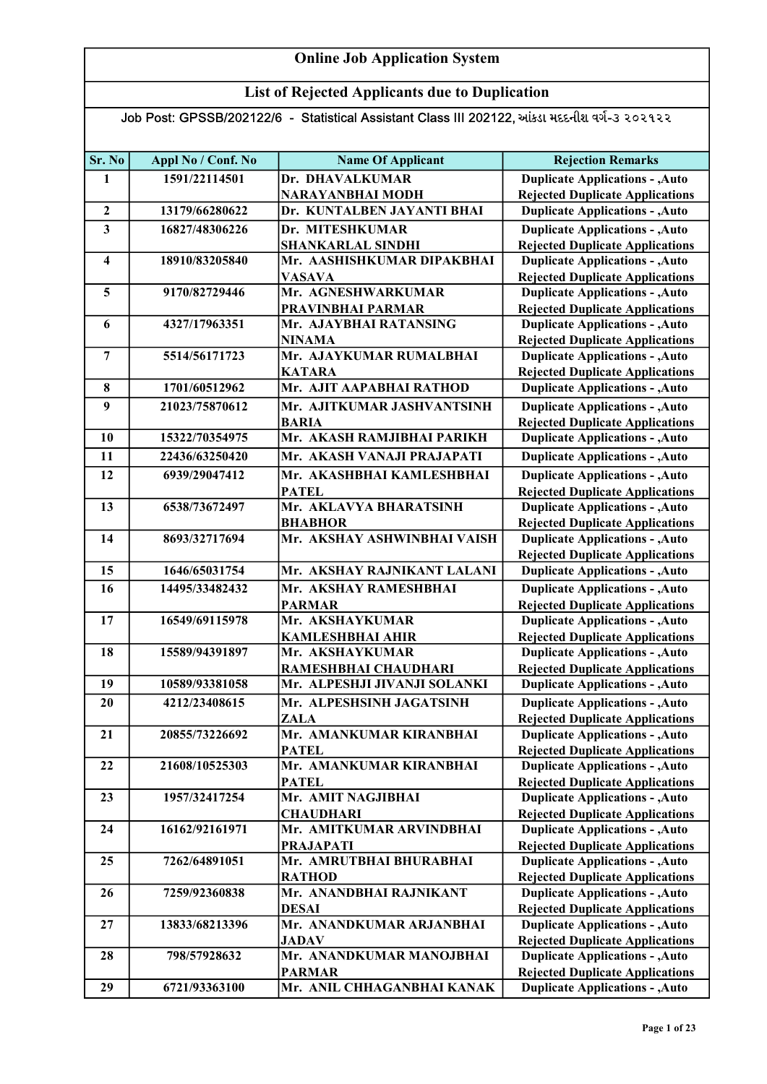## List of Rejected Applicants due to Duplication

| Sr. No                  | Appl No / Conf. No | <b>Name Of Applicant</b>                    | <b>Rejection Remarks</b>                                                         |
|-------------------------|--------------------|---------------------------------------------|----------------------------------------------------------------------------------|
| 1                       | 1591/22114501      | Dr. DHAVALKUMAR                             | <b>Duplicate Applications - , Auto</b>                                           |
|                         |                    | NARAYANBHAI MODH                            | <b>Rejected Duplicate Applications</b>                                           |
| $\mathbf{2}$            | 13179/66280622     | Dr. KUNTALBEN JAYANTI BHAI                  | <b>Duplicate Applications - , Auto</b>                                           |
| $\overline{\mathbf{3}}$ | 16827/48306226     | Dr. MITESHKUMAR                             | <b>Duplicate Applications - , Auto</b>                                           |
|                         |                    | <b>SHANKARLAL SINDHI</b>                    | <b>Rejected Duplicate Applications</b>                                           |
| $\overline{\mathbf{4}}$ | 18910/83205840     | Mr. AASHISHKUMAR DIPAKBHAI                  | <b>Duplicate Applications - , Auto</b>                                           |
|                         |                    | <b>VASAVA</b>                               | <b>Rejected Duplicate Applications</b>                                           |
| 5                       | 9170/82729446      | Mr. AGNESHWARKUMAR                          | <b>Duplicate Applications - , Auto</b>                                           |
|                         |                    | PRAVINBHAI PARMAR                           | <b>Rejected Duplicate Applications</b>                                           |
| 6                       | 4327/17963351      | Mr. AJAYBHAI RATANSING<br><b>NINAMA</b>     | <b>Duplicate Applications - , Auto</b>                                           |
| $\overline{7}$          | 5514/56171723      | Mr. AJAYKUMAR RUMALBHAI                     | <b>Rejected Duplicate Applications</b><br><b>Duplicate Applications - , Auto</b> |
|                         |                    | <b>KATARA</b>                               | <b>Rejected Duplicate Applications</b>                                           |
| 8                       | 1701/60512962      | Mr. AJIT AAPABHAI RATHOD                    | <b>Duplicate Applications - , Auto</b>                                           |
| 9                       | 21023/75870612     | Mr. AJITKUMAR JASHVANTSINH                  | <b>Duplicate Applications - , Auto</b>                                           |
|                         |                    | <b>BARIA</b>                                | <b>Rejected Duplicate Applications</b>                                           |
| 10                      | 15322/70354975     | Mr. AKASH RAMJIBHAI PARIKH                  | <b>Duplicate Applications - , Auto</b>                                           |
| 11                      | 22436/63250420     | Mr. AKASH VANAJI PRAJAPATI                  | <b>Duplicate Applications - , Auto</b>                                           |
| 12                      | 6939/29047412      | Mr. AKASHBHAI KAMLESHBHAI                   | <b>Duplicate Applications - , Auto</b>                                           |
|                         |                    | <b>PATEL</b>                                | <b>Rejected Duplicate Applications</b>                                           |
| 13                      | 6538/73672497      | Mr. AKLAVYA BHARATSINH                      | <b>Duplicate Applications - , Auto</b>                                           |
|                         |                    | <b>BHABHOR</b>                              | <b>Rejected Duplicate Applications</b>                                           |
| 14                      | 8693/32717694      | Mr. AKSHAY ASHWINBHAI VAISH                 | <b>Duplicate Applications - , Auto</b>                                           |
|                         |                    |                                             | <b>Rejected Duplicate Applications</b>                                           |
| 15                      | 1646/65031754      | Mr. AKSHAY RAJNIKANT LALANI                 | <b>Duplicate Applications - , Auto</b>                                           |
| 16                      | 14495/33482432     | Mr. AKSHAY RAMESHBHAI                       | <b>Duplicate Applications - , Auto</b>                                           |
|                         |                    | <b>PARMAR</b>                               | <b>Rejected Duplicate Applications</b>                                           |
| 17                      | 16549/69115978     | Mr. AKSHAYKUMAR                             | <b>Duplicate Applications - , Auto</b>                                           |
|                         |                    | <b>KAMLESHBHAI AHIR</b>                     | <b>Rejected Duplicate Applications</b>                                           |
| 18                      | 15589/94391897     | Mr. AKSHAYKUMAR                             | <b>Duplicate Applications - , Auto</b>                                           |
|                         |                    | RAMESHBHAI CHAUDHARI                        | <b>Rejected Duplicate Applications</b>                                           |
| 19                      | 10589/93381058     | Mr. ALPESHJI JIVANJI SOLANKI                | <b>Duplicate Applications - , Auto</b>                                           |
| 20                      | 4212/23408615      | Mr. ALPESHSINH JAGATSINH                    | <b>Duplicate Applications - , Auto</b>                                           |
|                         |                    | <b>ZALA</b>                                 | <b>Rejected Duplicate Applications</b>                                           |
| 21                      | 20855/73226692     | Mr. AMANKUMAR KIRANBHAI<br><b>PATEL</b>     | <b>Duplicate Applications - , Auto</b><br><b>Rejected Duplicate Applications</b> |
| 22                      | 21608/10525303     | Mr. AMANKUMAR KIRANBHAI                     | <b>Duplicate Applications - , Auto</b>                                           |
|                         |                    | <b>PATEL</b>                                | <b>Rejected Duplicate Applications</b>                                           |
| 23                      | 1957/32417254      | Mr. AMIT NAGJIBHAI                          | <b>Duplicate Applications - , Auto</b>                                           |
|                         |                    | <b>CHAUDHARI</b>                            | <b>Rejected Duplicate Applications</b>                                           |
| 24                      | 16162/92161971     | Mr. AMITKUMAR ARVINDBHAI                    | <b>Duplicate Applications - , Auto</b>                                           |
|                         |                    | <b>PRAJAPATI</b>                            | <b>Rejected Duplicate Applications</b>                                           |
| 25                      | 7262/64891051      | Mr. AMRUTBHAI BHURABHAI                     | <b>Duplicate Applications - , Auto</b>                                           |
|                         |                    | <b>RATHOD</b>                               | <b>Rejected Duplicate Applications</b>                                           |
| 26                      | 7259/92360838      | Mr. ANANDBHAI RAJNIKANT                     | <b>Duplicate Applications - , Auto</b>                                           |
|                         |                    | <b>DESAI</b>                                | <b>Rejected Duplicate Applications</b>                                           |
| 27                      | 13833/68213396     | Mr. ANANDKUMAR ARJANBHAI                    | <b>Duplicate Applications - , Auto</b>                                           |
|                         |                    | <b>JADAV</b>                                | <b>Rejected Duplicate Applications</b>                                           |
| 28                      | 798/57928632       | Mr. ANANDKUMAR MANOJBHAI                    | <b>Duplicate Applications - , Auto</b>                                           |
| 29                      | 6721/93363100      | <b>PARMAR</b><br>Mr. ANIL CHHAGANBHAI KANAK | <b>Rejected Duplicate Applications</b><br><b>Duplicate Applications - , Auto</b> |
|                         |                    |                                             |                                                                                  |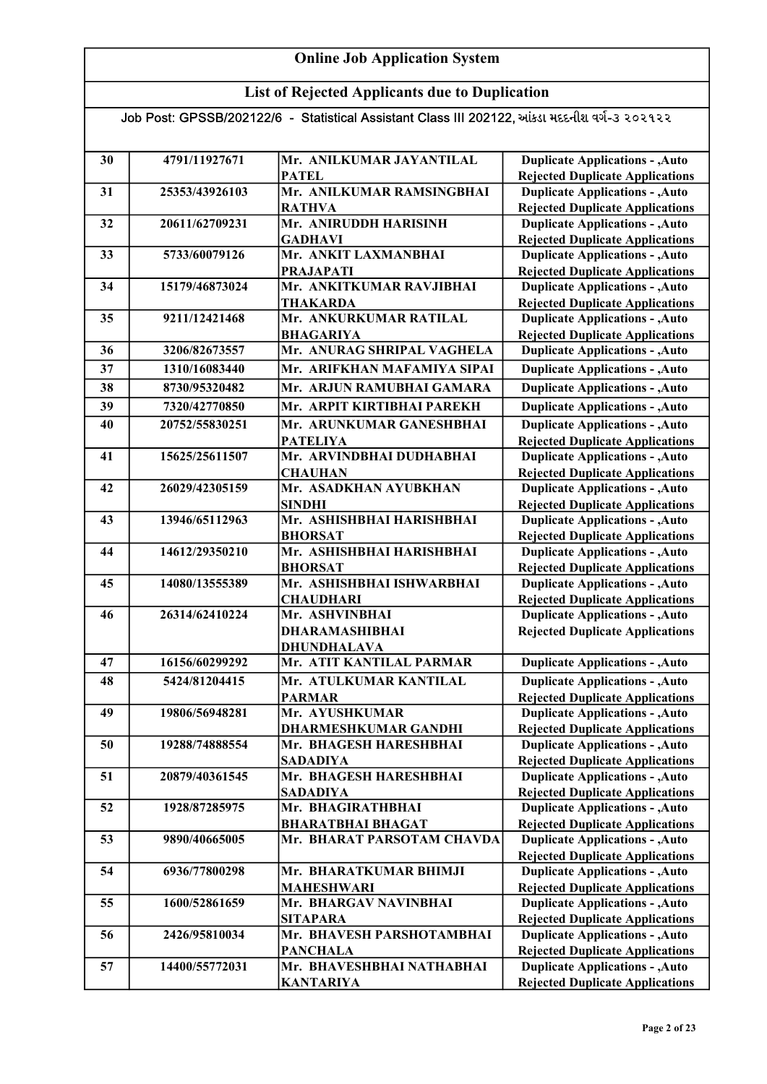## List of Rejected Applicants due to Duplication

| 30 | 4791/11927671  | Mr. ANILKUMAR JAYANTILAL                     | <b>Duplicate Applications - , Auto</b>                                           |
|----|----------------|----------------------------------------------|----------------------------------------------------------------------------------|
|    |                | <b>PATEL</b>                                 | <b>Rejected Duplicate Applications</b>                                           |
| 31 | 25353/43926103 | Mr. ANILKUMAR RAMSINGBHAI                    | <b>Duplicate Applications - , Auto</b>                                           |
|    |                | <b>RATHVA</b>                                | <b>Rejected Duplicate Applications</b>                                           |
| 32 | 20611/62709231 | Mr. ANIRUDDH HARISINH                        | <b>Duplicate Applications - , Auto</b>                                           |
| 33 | 5733/60079126  | <b>GADHAVI</b><br>Mr. ANKIT LAXMANBHAI       | <b>Rejected Duplicate Applications</b>                                           |
|    |                |                                              | <b>Duplicate Applications - , Auto</b>                                           |
| 34 | 15179/46873024 | <b>PRAJAPATI</b><br>Mr. ANKITKUMAR RAVJIBHAI | <b>Rejected Duplicate Applications</b><br><b>Duplicate Applications - , Auto</b> |
|    |                | <b>THAKARDA</b>                              | <b>Rejected Duplicate Applications</b>                                           |
| 35 | 9211/12421468  | Mr. ANKURKUMAR RATILAL                       | <b>Duplicate Applications - , Auto</b>                                           |
|    |                | <b>BHAGARIYA</b>                             | <b>Rejected Duplicate Applications</b>                                           |
| 36 | 3206/82673557  | Mr. ANURAG SHRIPAL VAGHELA                   | <b>Duplicate Applications - , Auto</b>                                           |
| 37 | 1310/16083440  | Mr. ARIFKHAN MAFAMIYA SIPAI                  | <b>Duplicate Applications - , Auto</b>                                           |
| 38 | 8730/95320482  | Mr. ARJUN RAMUBHAI GAMARA                    | <b>Duplicate Applications - , Auto</b>                                           |
|    |                |                                              |                                                                                  |
| 39 | 7320/42770850  | Mr. ARPIT KIRTIBHAI PAREKH                   | <b>Duplicate Applications - , Auto</b>                                           |
| 40 | 20752/55830251 | Mr. ARUNKUMAR GANESHBHAI                     | <b>Duplicate Applications - , Auto</b>                                           |
|    |                | <b>PATELIYA</b>                              | <b>Rejected Duplicate Applications</b>                                           |
| 41 | 15625/25611507 | Mr. ARVINDBHAI DUDHABHAI                     | <b>Duplicate Applications - , Auto</b>                                           |
|    | 26029/42305159 | <b>CHAUHAN</b><br>Mr. ASADKHAN AYUBKHAN      | <b>Rejected Duplicate Applications</b>                                           |
| 42 |                | <b>SINDHI</b>                                | <b>Duplicate Applications - , Auto</b><br><b>Rejected Duplicate Applications</b> |
| 43 | 13946/65112963 | Mr. ASHISHBHAI HARISHBHAI                    | <b>Duplicate Applications - , Auto</b>                                           |
|    |                | <b>BHORSAT</b>                               | <b>Rejected Duplicate Applications</b>                                           |
| 44 | 14612/29350210 | Mr. ASHISHBHAI HARISHBHAI                    | <b>Duplicate Applications - , Auto</b>                                           |
|    |                | <b>BHORSAT</b>                               | <b>Rejected Duplicate Applications</b>                                           |
| 45 | 14080/13555389 | Mr. ASHISHBHAI ISHWARBHAI                    | <b>Duplicate Applications - , Auto</b>                                           |
|    |                | <b>CHAUDHARI</b>                             | <b>Rejected Duplicate Applications</b>                                           |
| 46 | 26314/62410224 | Mr. ASHVINBHAI                               | <b>Duplicate Applications - , Auto</b>                                           |
|    |                | <b>DHARAMASHIBHAI</b>                        | <b>Rejected Duplicate Applications</b>                                           |
|    |                | <b>DHUNDHALAVA</b>                           |                                                                                  |
| 47 | 16156/60299292 | Mr. ATIT KANTILAL PARMAR                     | <b>Duplicate Applications - , Auto</b>                                           |
| 48 | 5424/81204415  | Mr. ATULKUMAR KANTILAL                       | <b>Duplicate Applications - , Auto</b>                                           |
|    |                | <b>PARMAR</b>                                | <b>Rejected Duplicate Applications</b>                                           |
| 49 | 19806/56948281 | Mr. AYUSHKUMAR                               | <b>Duplicate Applications - , Auto</b>                                           |
|    |                | <b>DHARMESHKUMAR GANDHI</b>                  | <b>Rejected Duplicate Applications</b>                                           |
| 50 | 19288/74888554 | Mr. BHAGESH HARESHBHAI                       | <b>Duplicate Applications - , Auto</b>                                           |
|    |                | <b>SADADIYA</b>                              | <b>Rejected Duplicate Applications</b>                                           |
| 51 | 20879/40361545 | Mr. BHAGESH HARESHBHAI                       | <b>Duplicate Applications - , Auto</b>                                           |
|    |                | <b>SADADIYA</b>                              | <b>Rejected Duplicate Applications</b>                                           |
| 52 | 1928/87285975  | Mr. BHAGIRATHBHAI                            | <b>Duplicate Applications - , Auto</b>                                           |
|    |                | <b>BHARATBHAI BHAGAT</b>                     | <b>Rejected Duplicate Applications</b>                                           |
| 53 | 9890/40665005  | Mr. BHARAT PARSOTAM CHAVDA                   | <b>Duplicate Applications - , Auto</b>                                           |
|    |                |                                              | <b>Rejected Duplicate Applications</b>                                           |
| 54 | 6936/77800298  | Mr. BHARATKUMAR BHIMJI<br><b>MAHESHWARI</b>  | <b>Duplicate Applications - , Auto</b><br><b>Rejected Duplicate Applications</b> |
| 55 | 1600/52861659  | Mr. BHARGAV NAVINBHAI                        | <b>Duplicate Applications - , Auto</b>                                           |
|    |                | <b>SITAPARA</b>                              | <b>Rejected Duplicate Applications</b>                                           |
| 56 | 2426/95810034  | Mr. BHAVESH PARSHOTAMBHAI                    | <b>Duplicate Applications - , Auto</b>                                           |
|    |                | <b>PANCHALA</b>                              | <b>Rejected Duplicate Applications</b>                                           |
| 57 | 14400/55772031 | Mr. BHAVESHBHAI NATHABHAI                    | <b>Duplicate Applications - , Auto</b>                                           |
|    |                | <b>KANTARIYA</b>                             | <b>Rejected Duplicate Applications</b>                                           |
|    |                |                                              |                                                                                  |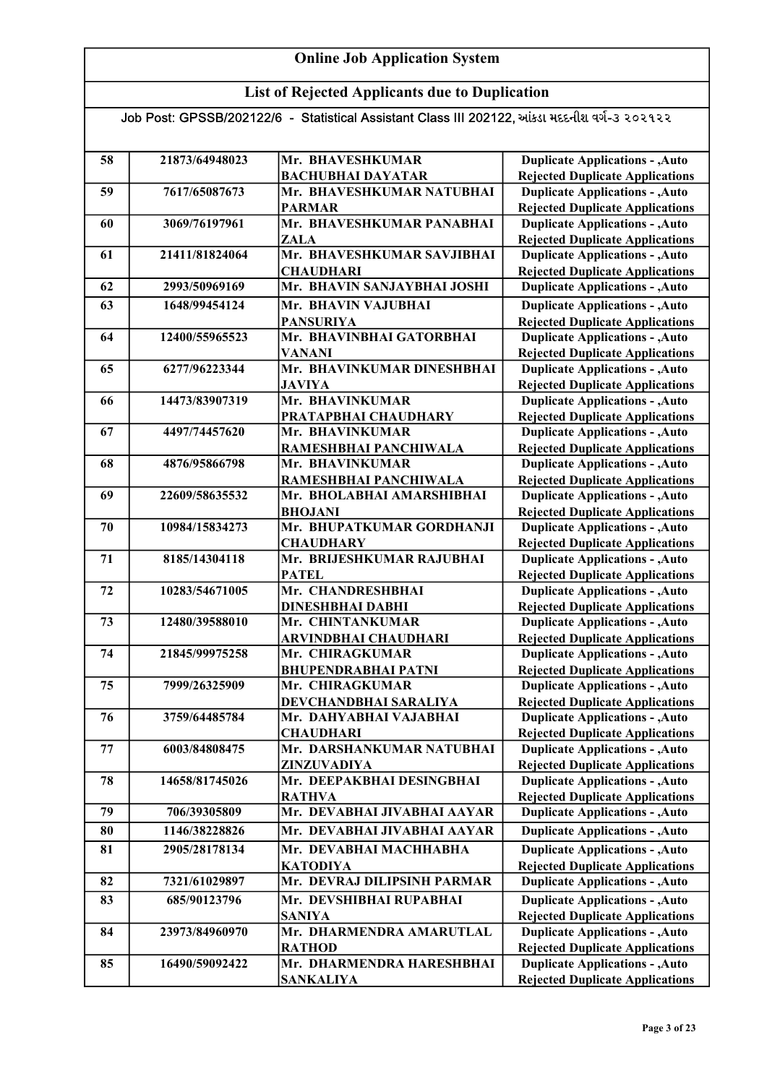## List of Rejected Applicants due to Duplication

| 58 | 21873/64948023 | Mr. BHAVESHKUMAR                          | <b>Duplicate Applications - , Auto</b>                                           |
|----|----------------|-------------------------------------------|----------------------------------------------------------------------------------|
|    |                | <b>BACHUBHAI DAYATAR</b>                  | <b>Rejected Duplicate Applications</b>                                           |
| 59 | 7617/65087673  | Mr. BHAVESHKUMAR NATUBHAI                 | <b>Duplicate Applications - , Auto</b>                                           |
|    |                | <b>PARMAR</b>                             | <b>Rejected Duplicate Applications</b>                                           |
| 60 | 3069/76197961  | Mr. BHAVESHKUMAR PANABHAI                 | <b>Duplicate Applications - , Auto</b>                                           |
|    |                | <b>ZALA</b>                               | <b>Rejected Duplicate Applications</b>                                           |
| 61 | 21411/81824064 | Mr. BHAVESHKUMAR SAVJIBHAI                | <b>Duplicate Applications - , Auto</b>                                           |
|    |                | <b>CHAUDHARI</b>                          | <b>Rejected Duplicate Applications</b>                                           |
| 62 | 2993/50969169  | Mr. BHAVIN SANJAYBHAI JOSHI               | <b>Duplicate Applications - , Auto</b>                                           |
| 63 | 1648/99454124  | Mr. BHAVIN VAJUBHAI                       | <b>Duplicate Applications - , Auto</b>                                           |
|    |                | <b>PANSURIYA</b>                          | <b>Rejected Duplicate Applications</b>                                           |
| 64 | 12400/55965523 | Mr. BHAVINBHAI GATORBHAI<br><b>VANANI</b> | <b>Duplicate Applications - , Auto</b>                                           |
| 65 | 6277/96223344  | Mr. BHAVINKUMAR DINESHBHAI                | <b>Rejected Duplicate Applications</b><br><b>Duplicate Applications - , Auto</b> |
|    |                | <b>JAVIYA</b>                             | <b>Rejected Duplicate Applications</b>                                           |
| 66 | 14473/83907319 | Mr. BHAVINKUMAR                           | <b>Duplicate Applications - , Auto</b>                                           |
|    |                | PRATAPBHAI CHAUDHARY                      | <b>Rejected Duplicate Applications</b>                                           |
| 67 | 4497/74457620  | Mr. BHAVINKUMAR                           | <b>Duplicate Applications - , Auto</b>                                           |
|    |                | RAMESHBHAI PANCHIWALA                     | <b>Rejected Duplicate Applications</b>                                           |
| 68 | 4876/95866798  | Mr. BHAVINKUMAR                           | <b>Duplicate Applications - , Auto</b>                                           |
|    |                | RAMESHBHAI PANCHIWALA                     | <b>Rejected Duplicate Applications</b>                                           |
| 69 | 22609/58635532 | Mr. BHOLABHAI AMARSHIBHAI                 | <b>Duplicate Applications - , Auto</b>                                           |
|    |                | <b>BHOJANI</b>                            | <b>Rejected Duplicate Applications</b>                                           |
| 70 | 10984/15834273 | Mr. BHUPATKUMAR GORDHANJI                 | <b>Duplicate Applications - , Auto</b>                                           |
|    |                | <b>CHAUDHARY</b>                          | <b>Rejected Duplicate Applications</b>                                           |
| 71 | 8185/14304118  | Mr. BRIJESHKUMAR RAJUBHAI                 | <b>Duplicate Applications - , Auto</b>                                           |
|    |                | <b>PATEL</b>                              | <b>Rejected Duplicate Applications</b>                                           |
| 72 | 10283/54671005 | Mr. CHANDRESHBHAI                         | <b>Duplicate Applications - , Auto</b>                                           |
|    |                | <b>DINESHBHAI DABHI</b>                   | <b>Rejected Duplicate Applications</b>                                           |
| 73 | 12480/39588010 | Mr. CHINTANKUMAR                          | <b>Duplicate Applications - , Auto</b>                                           |
|    |                | <b>ARVINDBHAI CHAUDHARI</b>               | <b>Rejected Duplicate Applications</b>                                           |
| 74 | 21845/99975258 | Mr. CHIRAGKUMAR                           | <b>Duplicate Applications - , Auto</b>                                           |
|    |                | <b>BHUPENDRABHAI PATNI</b>                | <b>Rejected Duplicate Applications</b>                                           |
| 75 | 7999/26325909  | Mr. CHIRAGKUMAR                           | <b>Duplicate Applications - , Auto</b>                                           |
|    |                | DEVCHANDBHAI SARALIYA                     | <b>Rejected Duplicate Applications</b>                                           |
| 76 | 3759/64485784  | Mr. DAHYABHAI VAJABHAI                    | <b>Duplicate Applications - , Auto</b>                                           |
|    |                | <b>CHAUDHARI</b>                          | <b>Rejected Duplicate Applications</b>                                           |
| 77 | 6003/84808475  | Mr. DARSHANKUMAR NATUBHAI                 | <b>Duplicate Applications - , Auto</b>                                           |
|    |                | ZINZUVADIYA                               | <b>Rejected Duplicate Applications</b>                                           |
| 78 | 14658/81745026 | Mr. DEEPAKBHAI DESINGBHAI                 | <b>Duplicate Applications - , Auto</b>                                           |
|    |                | <b>RATHVA</b>                             | <b>Rejected Duplicate Applications</b>                                           |
| 79 | 706/39305809   | Mr. DEVABHAI JIVABHAI AAYAR               | <b>Duplicate Applications - , Auto</b>                                           |
| 80 | 1146/38228826  | Mr. DEVABHAI JIVABHAI AAYAR               | <b>Duplicate Applications - , Auto</b>                                           |
| 81 | 2905/28178134  | Mr. DEVABHAI MACHHABHA                    | <b>Duplicate Applications - , Auto</b>                                           |
|    |                | <b>KATODIYA</b>                           | <b>Rejected Duplicate Applications</b>                                           |
| 82 | 7321/61029897  | Mr. DEVRAJ DILIPSINH PARMAR               | <b>Duplicate Applications - , Auto</b>                                           |
| 83 | 685/90123796   | Mr. DEVSHIBHAI RUPABHAI                   | <b>Duplicate Applications - , Auto</b>                                           |
|    |                | <b>SANIYA</b>                             | <b>Rejected Duplicate Applications</b>                                           |
| 84 | 23973/84960970 | Mr. DHARMENDRA AMARUTLAL                  | <b>Duplicate Applications - , Auto</b>                                           |
|    |                | <b>RATHOD</b>                             | <b>Rejected Duplicate Applications</b>                                           |
| 85 | 16490/59092422 | Mr. DHARMENDRA HARESHBHAI                 | <b>Duplicate Applications - , Auto</b>                                           |
|    |                | <b>SANKALIYA</b>                          | <b>Rejected Duplicate Applications</b>                                           |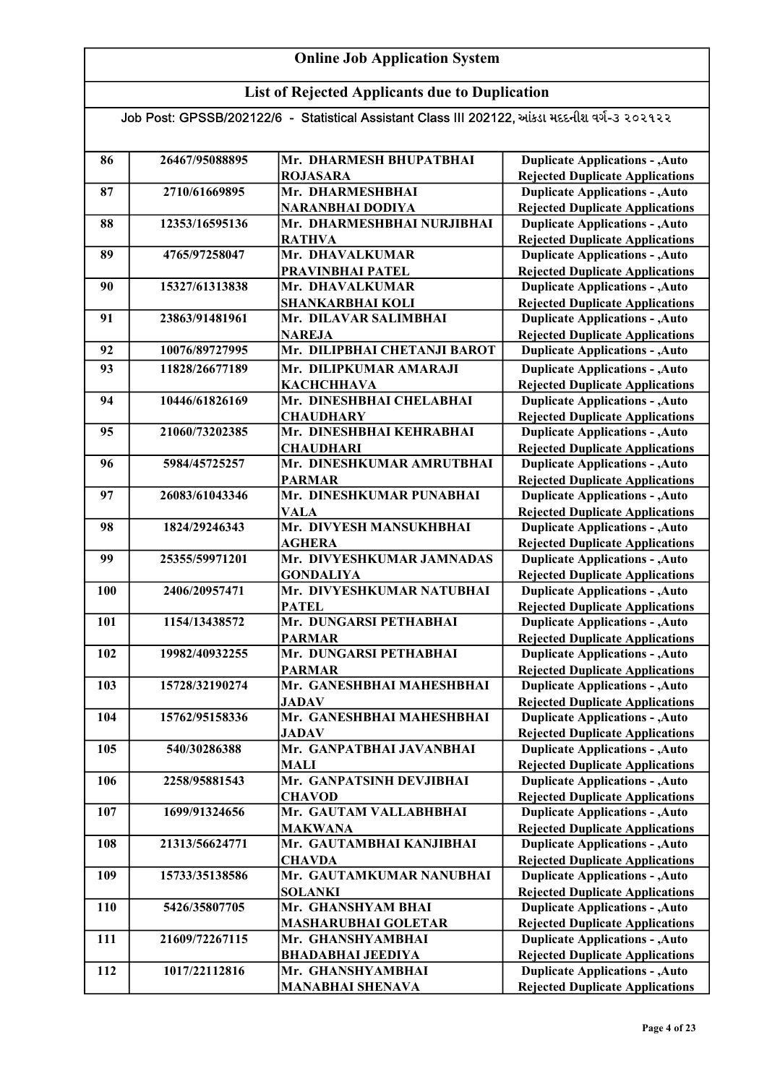## List of Rejected Applicants due to Duplication

| 86  | 26467/95088895 | Mr. DHARMESH BHUPATBHAI                    | <b>Duplicate Applications - , Auto</b>                                           |
|-----|----------------|--------------------------------------------|----------------------------------------------------------------------------------|
|     |                | <b>ROJASARA</b>                            | <b>Rejected Duplicate Applications</b>                                           |
| 87  | 2710/61669895  | Mr. DHARMESHBHAI                           | <b>Duplicate Applications - , Auto</b>                                           |
|     |                | <b>NARANBHAI DODIYA</b>                    | <b>Rejected Duplicate Applications</b>                                           |
| 88  | 12353/16595136 | Mr. DHARMESHBHAI NURJIBHAI                 | <b>Duplicate Applications - , Auto</b>                                           |
|     |                | <b>RATHVA</b>                              | <b>Rejected Duplicate Applications</b>                                           |
| 89  | 4765/97258047  | Mr. DHAVALKUMAR                            | <b>Duplicate Applications - , Auto</b>                                           |
|     |                | PRAVINBHAI PATEL                           | <b>Rejected Duplicate Applications</b>                                           |
| 90  | 15327/61313838 | Mr. DHAVALKUMAR                            | <b>Duplicate Applications - , Auto</b>                                           |
|     |                | <b>SHANKARBHAI KOLI</b>                    | <b>Rejected Duplicate Applications</b>                                           |
| 91  | 23863/91481961 | Mr. DILAVAR SALIMBHAI                      | <b>Duplicate Applications - , Auto</b>                                           |
|     |                | <b>NAREJA</b>                              | <b>Rejected Duplicate Applications</b>                                           |
| 92  | 10076/89727995 | Mr. DILIPBHAI CHETANJI BAROT               | <b>Duplicate Applications - , Auto</b>                                           |
| 93  | 11828/26677189 | Mr. DILIPKUMAR AMARAJI                     | <b>Duplicate Applications - , Auto</b>                                           |
|     |                | <b>КАСНСННАVA</b>                          | <b>Rejected Duplicate Applications</b>                                           |
| 94  | 10446/61826169 | Mr. DINESHBHAI CHELABHAI                   | <b>Duplicate Applications - , Auto</b>                                           |
|     |                | <b>CHAUDHARY</b>                           | <b>Rejected Duplicate Applications</b>                                           |
| 95  | 21060/73202385 | Mr. DINESHBHAI KEHRABHAI                   | <b>Duplicate Applications - , Auto</b>                                           |
|     |                | <b>CHAUDHARI</b>                           | <b>Rejected Duplicate Applications</b>                                           |
| 96  | 5984/45725257  | Mr. DINESHKUMAR AMRUTBHAI                  | <b>Duplicate Applications - , Auto</b>                                           |
|     |                | <b>PARMAR</b>                              | <b>Rejected Duplicate Applications</b>                                           |
| 97  | 26083/61043346 | Mr. DINESHKUMAR PUNABHAI                   | <b>Duplicate Applications - , Auto</b>                                           |
| 98  | 1824/29246343  | <b>VALA</b><br>Mr. DIVYESH MANSUKHBHAI     | <b>Rejected Duplicate Applications</b>                                           |
|     |                |                                            | <b>Duplicate Applications - , Auto</b>                                           |
| 99  | 25355/59971201 | <b>AGHERA</b><br>Mr. DIVYESHKUMAR JAMNADAS | <b>Rejected Duplicate Applications</b><br><b>Duplicate Applications - , Auto</b> |
|     |                | <b>GONDALIYA</b>                           | <b>Rejected Duplicate Applications</b>                                           |
| 100 | 2406/20957471  | Mr. DIVYESHKUMAR NATUBHAI                  | <b>Duplicate Applications - , Auto</b>                                           |
|     |                | <b>PATEL</b>                               | <b>Rejected Duplicate Applications</b>                                           |
| 101 | 1154/13438572  | Mr. DUNGARSI PETHABHAI                     | <b>Duplicate Applications - , Auto</b>                                           |
|     |                | <b>PARMAR</b>                              | <b>Rejected Duplicate Applications</b>                                           |
| 102 | 19982/40932255 | Mr. DUNGARSI PETHABHAI                     | <b>Duplicate Applications - , Auto</b>                                           |
|     |                | <b>PARMAR</b>                              | <b>Rejected Duplicate Applications</b>                                           |
| 103 | 15728/32190274 | Mr. GANESHBHAI MAHESHBHAI                  | <b>Duplicate Applications - , Auto</b>                                           |
|     |                | <b>JADAV</b>                               | <b>Rejected Duplicate Applications</b>                                           |
| 104 | 15762/95158336 | Mr. GANESHBHAI MAHESHBHAI                  | <b>Duplicate Applications - , Auto</b>                                           |
|     |                | <b>JADAV</b>                               | <b>Rejected Duplicate Applications</b>                                           |
| 105 | 540/30286388   | Mr. GANPATBHAI JAVANBHAI                   | <b>Duplicate Applications - , Auto</b>                                           |
|     |                | MALI                                       | <b>Rejected Duplicate Applications</b>                                           |
| 106 | 2258/95881543  | Mr. GANPATSINH DEVJIBHAI                   | <b>Duplicate Applications - , Auto</b>                                           |
|     |                | <b>CHAVOD</b>                              | <b>Rejected Duplicate Applications</b>                                           |
| 107 | 1699/91324656  | Mr. GAUTAM VALLABHBHAI                     | <b>Duplicate Applications - , Auto</b>                                           |
|     |                | <b>MAKWANA</b>                             | <b>Rejected Duplicate Applications</b>                                           |
| 108 | 21313/56624771 | Mr. GAUTAMBHAI KANJIBHAI                   | <b>Duplicate Applications - , Auto</b>                                           |
|     |                | <b>CHAVDA</b>                              | <b>Rejected Duplicate Applications</b>                                           |
| 109 | 15733/35138586 | Mr. GAUTAMKUMAR NANUBHAI                   | <b>Duplicate Applications - , Auto</b>                                           |
|     |                | <b>SOLANKI</b>                             | <b>Rejected Duplicate Applications</b>                                           |
| 110 | 5426/35807705  | Mr. GHANSHYAM BHAI                         | <b>Duplicate Applications - , Auto</b>                                           |
|     |                | <b>MASHARUBHAI GOLETAR</b>                 | <b>Rejected Duplicate Applications</b>                                           |
| 111 | 21609/72267115 | Mr. GHANSHYAMBHAI                          | <b>Duplicate Applications - , Auto</b>                                           |
|     |                | <b>BHADABHAI JEEDIYA</b>                   | <b>Rejected Duplicate Applications</b>                                           |
| 112 | 1017/22112816  | Mr. GHANSHYAMBHAI                          | <b>Duplicate Applications - , Auto</b>                                           |
|     |                | <b>MANABHAI SHENAVA</b>                    | <b>Rejected Duplicate Applications</b>                                           |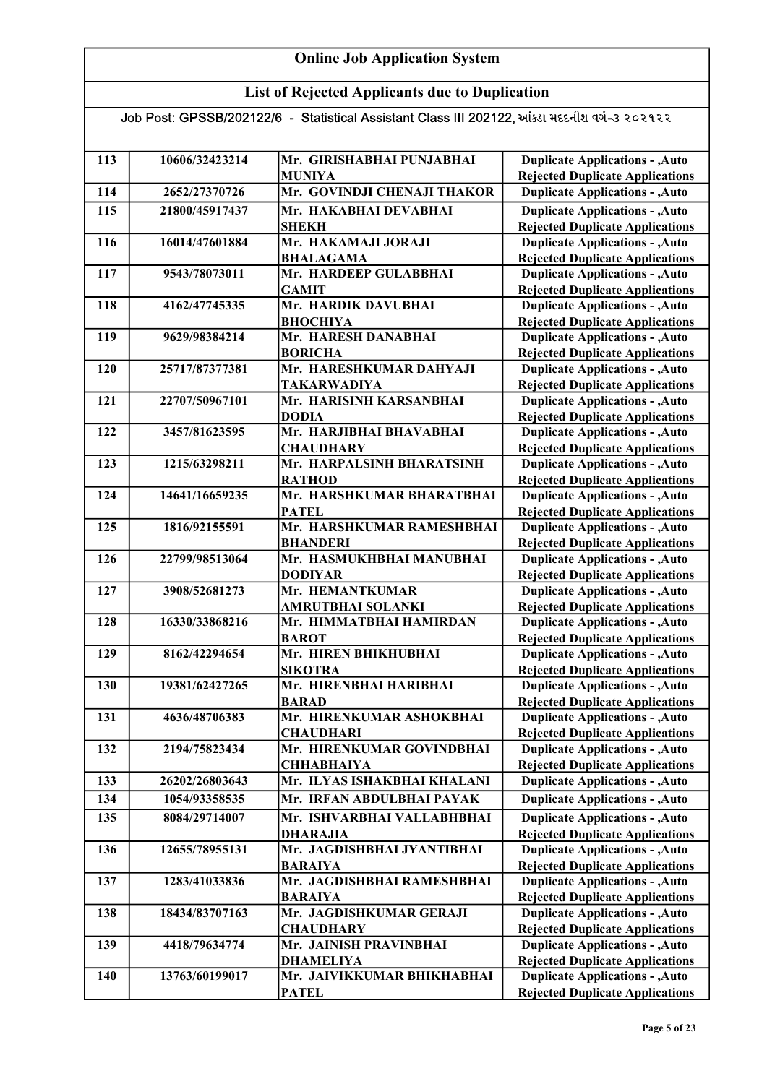## List of Rejected Applicants due to Duplication

| 113 | 10606/32423214 | Mr. GIRISHABHAI PUNJABHAI                | <b>Duplicate Applications - , Auto</b>                                           |
|-----|----------------|------------------------------------------|----------------------------------------------------------------------------------|
|     |                | <b>MUNIYA</b>                            | <b>Rejected Duplicate Applications</b>                                           |
| 114 | 2652/27370726  | Mr. GOVINDJI CHENAJI THAKOR              | <b>Duplicate Applications - , Auto</b>                                           |
| 115 | 21800/45917437 | Mr. HAKABHAI DEVABHAI                    | <b>Duplicate Applications - , Auto</b>                                           |
|     |                | <b>SHEKH</b>                             | <b>Rejected Duplicate Applications</b>                                           |
| 116 | 16014/47601884 | Mr. HAKAMAJI JORAJI                      | <b>Duplicate Applications - , Auto</b>                                           |
|     |                | <b>BHALAGAMA</b>                         | <b>Rejected Duplicate Applications</b>                                           |
| 117 | 9543/78073011  | Mr. HARDEEP GULABBHAI                    | <b>Duplicate Applications - , Auto</b>                                           |
|     |                | <b>GAMIT</b>                             | <b>Rejected Duplicate Applications</b>                                           |
| 118 | 4162/47745335  | Mr. HARDIK DAVUBHAI<br><b>ВНОСНІҮА</b>   | <b>Duplicate Applications - , Auto</b>                                           |
| 119 | 9629/98384214  | Mr. HARESH DANABHAI                      | <b>Rejected Duplicate Applications</b><br><b>Duplicate Applications - , Auto</b> |
|     |                | <b>BORICHA</b>                           | <b>Rejected Duplicate Applications</b>                                           |
| 120 | 25717/87377381 | Mr. HARESHKUMAR DAHYAJI                  | <b>Duplicate Applications - , Auto</b>                                           |
|     |                | <b>TAKARWADIYA</b>                       | <b>Rejected Duplicate Applications</b>                                           |
| 121 | 22707/50967101 | Mr. HARISINH KARSANBHAI                  | <b>Duplicate Applications - , Auto</b>                                           |
|     |                | <b>DODIA</b>                             | <b>Rejected Duplicate Applications</b>                                           |
| 122 | 3457/81623595  | Mr. HARJIBHAI BHAVABHAI                  | <b>Duplicate Applications - , Auto</b>                                           |
|     |                | <b>CHAUDHARY</b>                         | <b>Rejected Duplicate Applications</b>                                           |
| 123 | 1215/63298211  | Mr. HARPALSINH BHARATSINH                | <b>Duplicate Applications - , Auto</b>                                           |
|     |                | <b>RATHOD</b>                            | <b>Rejected Duplicate Applications</b>                                           |
| 124 | 14641/16659235 | Mr. HARSHKUMAR BHARATBHAI                | <b>Duplicate Applications - , Auto</b>                                           |
|     |                | <b>PATEL</b>                             | <b>Rejected Duplicate Applications</b>                                           |
| 125 | 1816/92155591  | Mr. HARSHKUMAR RAMESHBHAI                | <b>Duplicate Applications - , Auto</b>                                           |
|     |                | <b>BHANDERI</b>                          | <b>Rejected Duplicate Applications</b>                                           |
| 126 | 22799/98513064 | Mr. HASMUKHBHAI MANUBHAI                 | <b>Duplicate Applications - , Auto</b>                                           |
|     |                | <b>DODIYAR</b>                           | <b>Rejected Duplicate Applications</b>                                           |
| 127 | 3908/52681273  | Mr. HEMANTKUMAR                          | <b>Duplicate Applications - , Auto</b>                                           |
|     |                | AMRUTBHAI SOLANKI                        | <b>Rejected Duplicate Applications</b>                                           |
| 128 | 16330/33868216 | Mr. HIMMATBHAI HAMIRDAN                  | <b>Duplicate Applications - , Auto</b>                                           |
|     |                | <b>BAROT</b>                             | <b>Rejected Duplicate Applications</b>                                           |
| 129 | 8162/42294654  | Mr. HIREN BHIKHUBHAI                     | <b>Duplicate Applications - , Auto</b>                                           |
| 130 | 19381/62427265 | <b>SIKOTRA</b><br>Mr. HIRENBHAI HARIBHAI | <b>Rejected Duplicate Applications</b><br><b>Duplicate Applications - , Auto</b> |
|     |                | <b>BARAD</b>                             | <b>Rejected Duplicate Applications</b>                                           |
| 131 | 4636/48706383  | Mr. HIRENKUMAR ASHOKBHAI                 | <b>Duplicate Applications - , Auto</b>                                           |
|     |                | <b>CHAUDHARI</b>                         | <b>Rejected Duplicate Applications</b>                                           |
| 132 | 2194/75823434  | Mr. HIRENKUMAR GOVINDBHAI                | <b>Duplicate Applications - , Auto</b>                                           |
|     |                | <b>СННАВНАІҮА</b>                        | <b>Rejected Duplicate Applications</b>                                           |
| 133 | 26202/26803643 | Mr. ILYAS ISHAKBHAI KHALANI              | <b>Duplicate Applications - , Auto</b>                                           |
| 134 | 1054/93358535  | Mr. IRFAN ABDULBHAI PAYAK                | <b>Duplicate Applications - , Auto</b>                                           |
| 135 | 8084/29714007  | Mr. ISHVARBHAI VALLABHBHAI               | <b>Duplicate Applications - , Auto</b>                                           |
|     |                | <b>DHARAJIA</b>                          | <b>Rejected Duplicate Applications</b>                                           |
| 136 | 12655/78955131 | Mr. JAGDISHBHAI JYANTIBHAI               | <b>Duplicate Applications - , Auto</b>                                           |
|     |                | <b>BARAIYA</b>                           | <b>Rejected Duplicate Applications</b>                                           |
| 137 | 1283/41033836  | Mr. JAGDISHBHAI RAMESHBHAI               | <b>Duplicate Applications - , Auto</b>                                           |
|     |                | <b>BARAIYA</b>                           | <b>Rejected Duplicate Applications</b>                                           |
| 138 | 18434/83707163 | Mr. JAGDISHKUMAR GERAJI                  | <b>Duplicate Applications - , Auto</b>                                           |
|     |                | <b>CHAUDHARY</b>                         | <b>Rejected Duplicate Applications</b>                                           |
| 139 | 4418/79634774  | Mr. JAINISH PRAVINBHAI                   | <b>Duplicate Applications - , Auto</b>                                           |
|     |                | <b>DHAMELIYA</b>                         | <b>Rejected Duplicate Applications</b>                                           |
| 140 | 13763/60199017 | Mr. JAIVIKKUMAR BHIKHABHAI               | <b>Duplicate Applications - , Auto</b>                                           |
|     |                | <b>PATEL</b>                             | <b>Rejected Duplicate Applications</b>                                           |
|     |                |                                          |                                                                                  |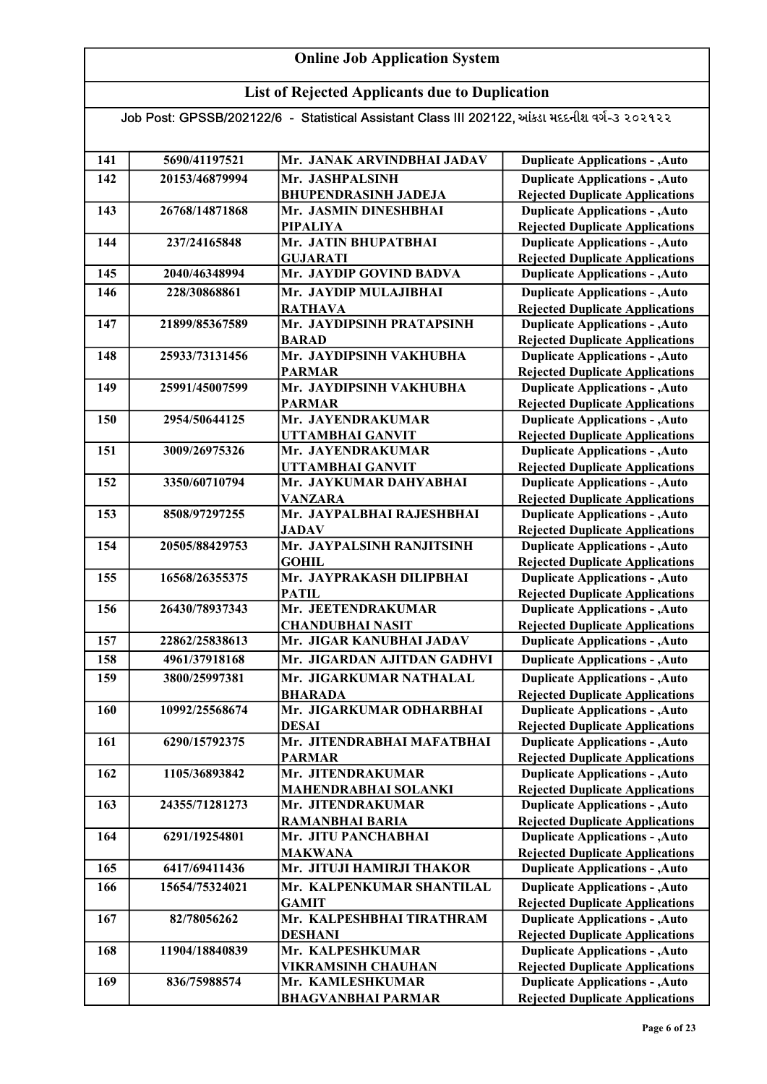## List of Rejected Applicants due to Duplication

| 141 | 5690/41197521  | Mr. JANAK ARVINDBHAI JADAV                          | <b>Duplicate Applications - , Auto</b>                                           |
|-----|----------------|-----------------------------------------------------|----------------------------------------------------------------------------------|
| 142 | 20153/46879994 | Mr. JASHPALSINH                                     | <b>Duplicate Applications - , Auto</b>                                           |
|     |                | <b>BHUPENDRASINH JADEJA</b>                         | <b>Rejected Duplicate Applications</b>                                           |
| 143 | 26768/14871868 | Mr. JASMIN DINESHBHAI                               | <b>Duplicate Applications - , Auto</b>                                           |
|     |                | <b>PIPALIYA</b>                                     | <b>Rejected Duplicate Applications</b>                                           |
| 144 | 237/24165848   | Mr. JATIN BHUPATBHAI                                | <b>Duplicate Applications - , Auto</b>                                           |
|     |                | <b>GUJARATI</b>                                     | <b>Rejected Duplicate Applications</b>                                           |
| 145 | 2040/46348994  | Mr. JAYDIP GOVIND BADVA                             | <b>Duplicate Applications - , Auto</b>                                           |
| 146 | 228/30868861   | Mr. JAYDIP MULAJIBHAI                               | <b>Duplicate Applications - , Auto</b>                                           |
|     |                | <b>RATHAVA</b>                                      | <b>Rejected Duplicate Applications</b>                                           |
| 147 | 21899/85367589 | Mr. JAYDIPSINH PRATAPSINH                           | <b>Duplicate Applications - , Auto</b>                                           |
|     |                | <b>BARAD</b>                                        | <b>Rejected Duplicate Applications</b>                                           |
| 148 | 25933/73131456 | Mr. JAYDIPSINH VAKHUBHA                             | <b>Duplicate Applications - , Auto</b>                                           |
|     |                | <b>PARMAR</b>                                       | <b>Rejected Duplicate Applications</b>                                           |
| 149 | 25991/45007599 | Mr. JAYDIPSINH VAKHUBHA                             | <b>Duplicate Applications - , Auto</b>                                           |
|     |                | <b>PARMAR</b>                                       | <b>Rejected Duplicate Applications</b>                                           |
| 150 | 2954/50644125  | Mr. JAYENDRAKUMAR                                   | <b>Duplicate Applications - , Auto</b>                                           |
|     |                | UTTAMBHAI GANVIT                                    | <b>Rejected Duplicate Applications</b>                                           |
| 151 | 3009/26975326  | Mr. JAYENDRAKUMAR                                   | <b>Duplicate Applications - , Auto</b>                                           |
|     |                | <b>UTTAMBHAI GANVIT</b>                             | <b>Rejected Duplicate Applications</b>                                           |
| 152 | 3350/60710794  | Mr. JAYKUMAR DAHYABHAI                              | <b>Duplicate Applications - , Auto</b>                                           |
|     |                | <b>VANZARA</b>                                      | <b>Rejected Duplicate Applications</b>                                           |
| 153 | 8508/97297255  | Mr. JAYPALBHAI RAJESHBHAI                           | <b>Duplicate Applications - , Auto</b>                                           |
|     |                | <b>JADAV</b>                                        | <b>Rejected Duplicate Applications</b>                                           |
| 154 | 20505/88429753 | Mr. JAYPALSINH RANJITSINH                           | <b>Duplicate Applications - , Auto</b>                                           |
|     |                | <b>GOHIL</b>                                        | <b>Rejected Duplicate Applications</b>                                           |
| 155 | 16568/26355375 | Mr. JAYPRAKASH DILIPBHAI                            | <b>Duplicate Applications - , Auto</b>                                           |
|     | 26430/78937343 | <b>PATIL</b><br>Mr. JEETENDRAKUMAR                  | <b>Rejected Duplicate Applications</b>                                           |
| 156 |                |                                                     | <b>Duplicate Applications - , Auto</b>                                           |
| 157 | 22862/25838613 | <b>CHANDUBHAI NASIT</b><br>Mr. JIGAR KANUBHAI JADAV | <b>Rejected Duplicate Applications</b><br><b>Duplicate Applications - , Auto</b> |
|     |                |                                                     |                                                                                  |
| 158 | 4961/37918168  | Mr. JIGARDAN AJITDAN GADHVI                         | <b>Duplicate Applications - , Auto</b>                                           |
| 159 | 3800/25997381  | Mr. JIGARKUMAR NATHALAL                             | <b>Duplicate Applications - , Auto</b>                                           |
|     |                | <b>BHARADA</b>                                      | <b>Rejected Duplicate Applications</b>                                           |
| 160 | 10992/25568674 | Mr. JIGARKUMAR ODHARBHAI                            | <b>Duplicate Applications - , Auto</b>                                           |
|     |                | <b>DESAI</b>                                        | <b>Rejected Duplicate Applications</b>                                           |
| 161 | 6290/15792375  | Mr. JITENDRABHAI MAFATBHAI                          | <b>Duplicate Applications - , Auto</b>                                           |
| 162 | 1105/36893842  | <b>PARMAR</b><br>Mr. JITENDRAKUMAR                  | <b>Rejected Duplicate Applications</b><br><b>Duplicate Applications - , Auto</b> |
|     |                | <b>MAHENDRABHAI SOLANKI</b>                         | <b>Rejected Duplicate Applications</b>                                           |
| 163 | 24355/71281273 | Mr. JITENDRAKUMAR                                   | <b>Duplicate Applications - , Auto</b>                                           |
|     |                | <b>RAMANBHAI BARIA</b>                              | <b>Rejected Duplicate Applications</b>                                           |
| 164 | 6291/19254801  | Mr. JITU PANCHABHAI                                 | <b>Duplicate Applications - , Auto</b>                                           |
|     |                | <b>MAKWANA</b>                                      | <b>Rejected Duplicate Applications</b>                                           |
| 165 | 6417/69411436  | Mr. JITUJI HAMIRJI THAKOR                           | <b>Duplicate Applications - , Auto</b>                                           |
| 166 | 15654/75324021 | Mr. KALPENKUMAR SHANTILAL                           | <b>Duplicate Applications - , Auto</b>                                           |
|     |                | <b>GAMIT</b>                                        | <b>Rejected Duplicate Applications</b>                                           |
| 167 | 82/78056262    | Mr. KALPESHBHAI TIRATHRAM                           | <b>Duplicate Applications - , Auto</b>                                           |
|     |                | <b>DESHANI</b>                                      | <b>Rejected Duplicate Applications</b>                                           |
| 168 | 11904/18840839 | Mr. KALPESHKUMAR                                    | <b>Duplicate Applications - , Auto</b>                                           |
|     |                | <b>VIKRAMSINH CHAUHAN</b>                           | <b>Rejected Duplicate Applications</b>                                           |
| 169 | 836/75988574   | Mr. KAMLESHKUMAR                                    | <b>Duplicate Applications - , Auto</b>                                           |
|     |                | <b>BHAGVANBHAI PARMAR</b>                           | <b>Rejected Duplicate Applications</b>                                           |
|     |                |                                                     |                                                                                  |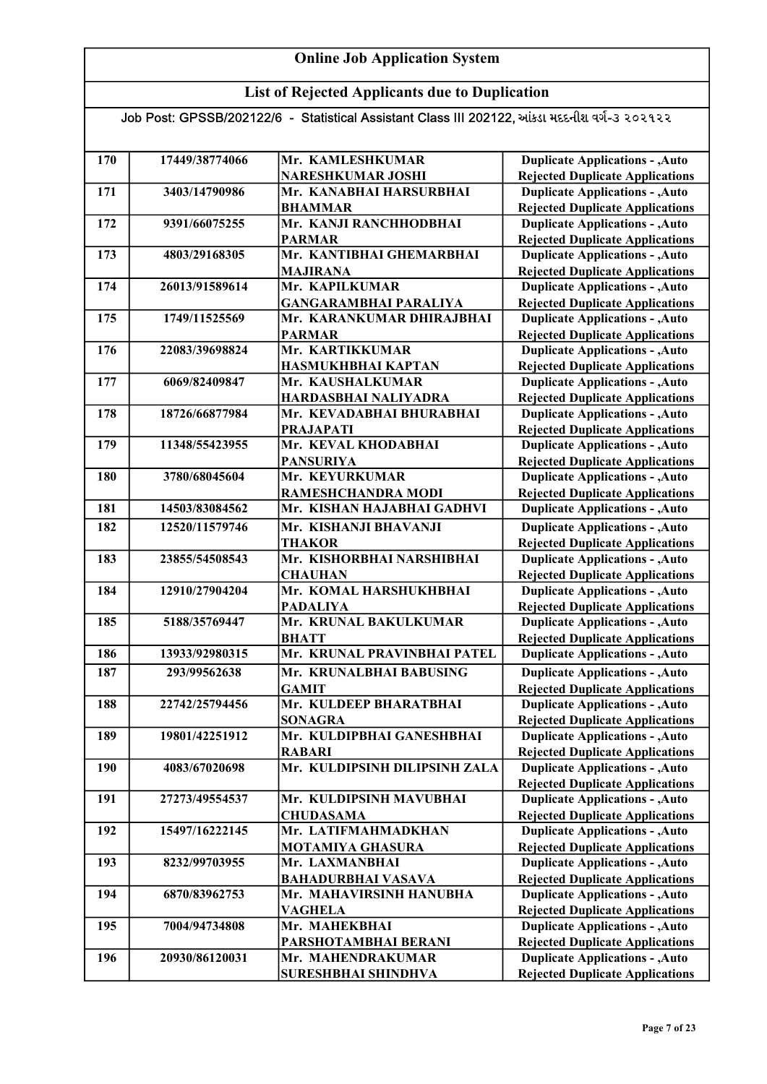## List of Rejected Applicants due to Duplication

| 170 | 17449/38774066 | Mr. KAMLESHKUMAR                                     | <b>Duplicate Applications - , Auto</b>                                           |
|-----|----------------|------------------------------------------------------|----------------------------------------------------------------------------------|
|     |                | <b>NARESHKUMAR JOSHI</b>                             | <b>Rejected Duplicate Applications</b>                                           |
| 171 | 3403/14790986  | Mr. KANABHAI HARSURBHAI                              | <b>Duplicate Applications - , Auto</b>                                           |
|     |                | <b>BHAMMAR</b>                                       | <b>Rejected Duplicate Applications</b>                                           |
| 172 | 9391/66075255  | Mr. KANJI RANCHHODBHAI                               | <b>Duplicate Applications - , Auto</b>                                           |
|     |                | <b>PARMAR</b>                                        | <b>Rejected Duplicate Applications</b>                                           |
| 173 | 4803/29168305  | Mr. KANTIBHAI GHEMARBHAI                             | <b>Duplicate Applications - , Auto</b>                                           |
|     |                | <b>MAJIRANA</b>                                      | <b>Rejected Duplicate Applications</b>                                           |
| 174 | 26013/91589614 | Mr. KAPILKUMAR                                       | <b>Duplicate Applications - , Auto</b>                                           |
|     |                | <b>GANGARAMBHAI PARALIYA</b>                         | <b>Rejected Duplicate Applications</b>                                           |
| 175 | 1749/11525569  | Mr. KARANKUMAR DHIRAJBHAI                            | Duplicate Applications - , Auto                                                  |
|     |                | <b>PARMAR</b>                                        | <b>Rejected Duplicate Applications</b>                                           |
| 176 | 22083/39698824 | Mr. KARTIKKUMAR                                      | <b>Duplicate Applications - , Auto</b>                                           |
|     |                | HASMUKHBHAI KAPTAN                                   | <b>Rejected Duplicate Applications</b>                                           |
| 177 | 6069/82409847  | Mr. KAUSHALKUMAR                                     | <b>Duplicate Applications - , Auto</b>                                           |
|     |                | HARDASBHAI NALIYADRA                                 | <b>Rejected Duplicate Applications</b>                                           |
| 178 | 18726/66877984 | Mr. KEVADABHAI BHURABHAI                             | <b>Duplicate Applications - , Auto</b>                                           |
|     |                | <b>PRAJAPATI</b>                                     | <b>Rejected Duplicate Applications</b>                                           |
| 179 | 11348/55423955 | Mr. KEVAL KHODABHAI                                  | <b>Duplicate Applications - , Auto</b>                                           |
|     |                | <b>PANSURIYA</b>                                     | <b>Rejected Duplicate Applications</b>                                           |
| 180 | 3780/68045604  | Mr. KEYURKUMAR                                       | <b>Duplicate Applications - , Auto</b>                                           |
|     |                | RAMESHCHANDRA MODI                                   | <b>Rejected Duplicate Applications</b>                                           |
| 181 | 14503/83084562 | Mr. KISHAN HAJABHAI GADHVI                           | <b>Duplicate Applications - , Auto</b>                                           |
| 182 | 12520/11579746 | Mr. KISHANJI BHAVANJI                                | <b>Duplicate Applications - , Auto</b>                                           |
|     |                | <b>THAKOR</b>                                        | <b>Rejected Duplicate Applications</b>                                           |
| 183 | 23855/54508543 | Mr. KISHORBHAI NARSHIBHAI                            | <b>Duplicate Applications - , Auto</b>                                           |
|     |                | <b>CHAUHAN</b>                                       | <b>Rejected Duplicate Applications</b>                                           |
| 184 | 12910/27904204 | Mr. KOMAL HARSHUKHBHAI                               | <b>Duplicate Applications - , Auto</b>                                           |
|     |                | <b>PADALIYA</b>                                      | <b>Rejected Duplicate Applications</b>                                           |
| 185 | 5188/35769447  | Mr. KRUNAL BAKULKUMAR                                | <b>Duplicate Applications - , Auto</b>                                           |
|     |                | <b>BHATT</b>                                         | <b>Rejected Duplicate Applications</b>                                           |
| 186 | 13933/92980315 | Mr. KRUNAL PRAVINBHAI PATEL                          | <b>Duplicate Applications - , Auto</b>                                           |
| 187 | 293/99562638   | Mr. KRUNALBHAI BABUSING                              | <b>Duplicate Applications - , Auto</b>                                           |
|     |                | <b>GAMIT</b>                                         | <b>Rejected Duplicate Applications</b>                                           |
| 188 | 22742/25794456 | Mr. KULDEEP BHARATBHAI                               | <b>Duplicate Applications - , Auto</b>                                           |
|     |                | <b>SONAGRA</b>                                       | <b>Rejected Duplicate Applications</b>                                           |
| 189 | 19801/42251912 | Mr. KULDIPBHAI GANESHBHAI                            | <b>Duplicate Applications - , Auto</b>                                           |
|     |                | <b>RABARI</b>                                        | <b>Rejected Duplicate Applications</b>                                           |
| 190 | 4083/67020698  | Mr. KULDIPSINH DILIPSINH ZALA                        | <b>Duplicate Applications - , Auto</b>                                           |
|     |                |                                                      | <b>Rejected Duplicate Applications</b>                                           |
| 191 | 27273/49554537 | Mr. KULDIPSINH MAVUBHAI                              | <b>Duplicate Applications - , Auto</b>                                           |
|     |                | <b>CHUDASAMA</b>                                     | <b>Rejected Duplicate Applications</b>                                           |
| 192 | 15497/16222145 | Mr. LATIFMAHMADKHAN                                  | <b>Duplicate Applications - , Auto</b>                                           |
|     |                | <b>MOTAMIYA GHASURA</b>                              | <b>Rejected Duplicate Applications</b>                                           |
| 193 | 8232/99703955  | Mr. LAXMANBHAI                                       | <b>Duplicate Applications - , Auto</b>                                           |
|     |                | <b>BAHADURBHAI VASAVA</b><br>Mr. MAHAVIRSINH HANUBHA | <b>Rejected Duplicate Applications</b>                                           |
| 194 | 6870/83962753  |                                                      | <b>Duplicate Applications - , Auto</b>                                           |
| 195 | 7004/94734808  | VAGHELA<br>Mr. MAHEKBHAI                             | <b>Rejected Duplicate Applications</b><br><b>Duplicate Applications - , Auto</b> |
|     |                | PARSHOTAMBHAI BERANI                                 | <b>Rejected Duplicate Applications</b>                                           |
| 196 | 20930/86120031 | Mr. MAHENDRAKUMAR                                    | <b>Duplicate Applications - , Auto</b>                                           |
|     |                | SURESHBHAI SHINDHVA                                  | <b>Rejected Duplicate Applications</b>                                           |
|     |                |                                                      |                                                                                  |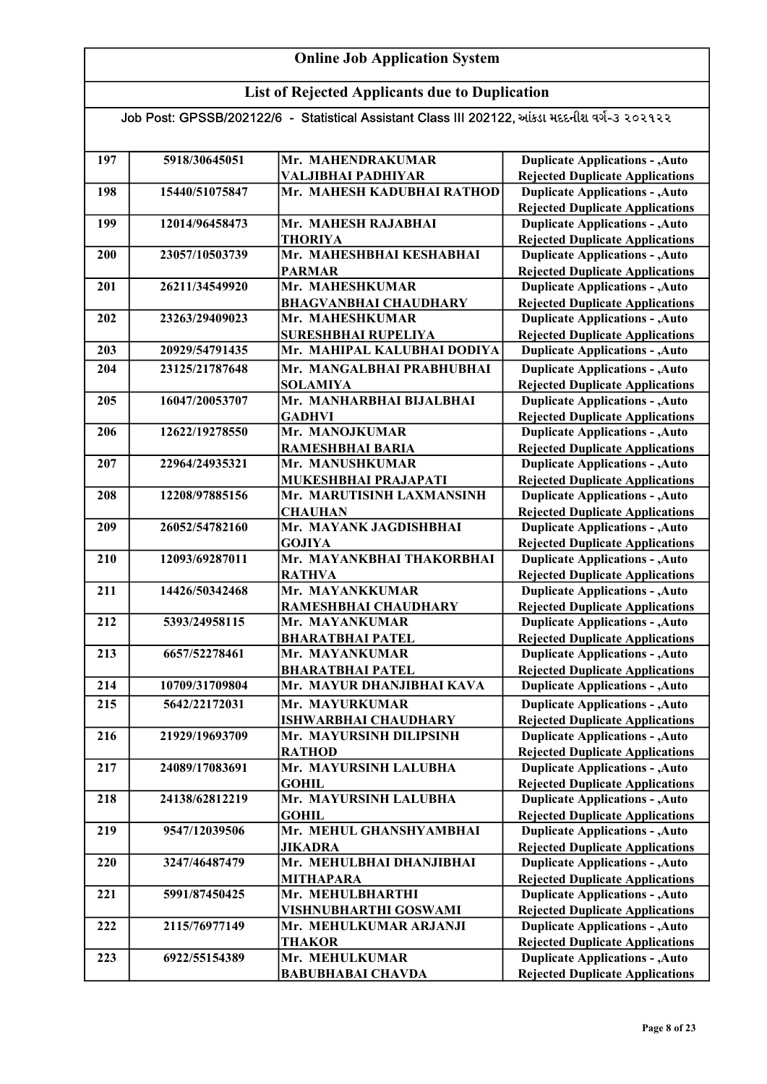## List of Rejected Applicants due to Duplication

| 197 | 5918/30645051  | Mr. MAHENDRAKUMAR<br>VALJIBHAI PADHIYAR   | <b>Duplicate Applications - , Auto</b>                                           |
|-----|----------------|-------------------------------------------|----------------------------------------------------------------------------------|
|     |                | Mr. MAHESH KADUBHAI RATHOD                | <b>Rejected Duplicate Applications</b>                                           |
| 198 | 15440/51075847 |                                           | <b>Duplicate Applications - , Auto</b><br><b>Rejected Duplicate Applications</b> |
| 199 | 12014/96458473 | Mr. MAHESH RAJABHAI                       | <b>Duplicate Applications - , Auto</b>                                           |
|     |                | THORIYA                                   | <b>Rejected Duplicate Applications</b>                                           |
| 200 | 23057/10503739 | Mr. MAHESHBHAI KESHABHAI                  | <b>Duplicate Applications - , Auto</b>                                           |
|     |                | <b>PARMAR</b>                             | <b>Rejected Duplicate Applications</b>                                           |
| 201 | 26211/34549920 | Mr. MAHESHKUMAR                           | <b>Duplicate Applications - , Auto</b>                                           |
|     |                | <b>BHAGVANBHAI CHAUDHARY</b>              | <b>Rejected Duplicate Applications</b>                                           |
| 202 | 23263/29409023 | Mr. MAHESHKUMAR                           | <b>Duplicate Applications - , Auto</b>                                           |
|     |                | SURESHBHAI RUPELIYA                       | <b>Rejected Duplicate Applications</b>                                           |
| 203 | 20929/54791435 | Mr. MAHIPAL KALUBHAI DODIYA               | <b>Duplicate Applications - , Auto</b>                                           |
| 204 | 23125/21787648 | Mr. MANGALBHAI PRABHUBHAI                 | <b>Duplicate Applications - , Auto</b>                                           |
|     |                | <b>SOLAMIYA</b>                           | <b>Rejected Duplicate Applications</b>                                           |
| 205 | 16047/20053707 | Mr. MANHARBHAI BIJALBHAI                  | <b>Duplicate Applications - , Auto</b>                                           |
|     |                | <b>GADHVI</b>                             | <b>Rejected Duplicate Applications</b>                                           |
| 206 | 12622/19278550 | Mr. MANOJKUMAR                            | <b>Duplicate Applications - , Auto</b>                                           |
|     |                | RAMESHBHAI BARIA                          | <b>Rejected Duplicate Applications</b>                                           |
| 207 | 22964/24935321 | Mr. MANUSHKUMAR                           | <b>Duplicate Applications - , Auto</b>                                           |
|     |                | MUKESHBHAI PRAJAPATI                      | <b>Rejected Duplicate Applications</b>                                           |
| 208 | 12208/97885156 | Mr. MARUTISINH LAXMANSINH                 | <b>Duplicate Applications - , Auto</b>                                           |
|     |                | <b>CHAUHAN</b>                            | <b>Rejected Duplicate Applications</b>                                           |
| 209 | 26052/54782160 | Mr. MAYANK JAGDISHBHAI                    | <b>Duplicate Applications - , Auto</b>                                           |
|     |                | <b>GOJIYA</b>                             | <b>Rejected Duplicate Applications</b>                                           |
| 210 | 12093/69287011 | Mr. MAYANKBHAI THAKORBHAI                 | <b>Duplicate Applications - , Auto</b>                                           |
|     |                | <b>RATHVA</b>                             | <b>Rejected Duplicate Applications</b>                                           |
| 211 | 14426/50342468 | Mr. MAYANKKUMAR                           | <b>Duplicate Applications - , Auto</b>                                           |
|     |                | RAMESHBHAI CHAUDHARY                      | <b>Rejected Duplicate Applications</b>                                           |
| 212 | 5393/24958115  | Mr. MAYANKUMAR                            | <b>Duplicate Applications - , Auto</b>                                           |
| 213 | 6657/52278461  | <b>BHARATBHAI PATEL</b><br>Mr. MAYANKUMAR | <b>Rejected Duplicate Applications</b>                                           |
|     |                | <b>BHARATBHAI PATEL</b>                   | <b>Duplicate Applications - , Auto</b><br><b>Rejected Duplicate Applications</b> |
| 214 | 10709/31709804 | Mr. MAYUR DHANJIBHAI KAVA                 | <b>Duplicate Applications - , Auto</b>                                           |
| 215 | 5642/22172031  | Mr. MAYURKUMAR                            | <b>Duplicate Applications - , Auto</b>                                           |
|     |                | <b>ISHWARBHAI CHAUDHARY</b>               | <b>Rejected Duplicate Applications</b>                                           |
| 216 | 21929/19693709 | Mr. MAYURSINH DILIPSINH                   | <b>Duplicate Applications - , Auto</b>                                           |
|     |                | <b>RATHOD</b>                             | <b>Rejected Duplicate Applications</b>                                           |
| 217 | 24089/17083691 | Mr. MAYURSINH LALUBHA                     | <b>Duplicate Applications - , Auto</b>                                           |
|     |                | <b>GOHIL</b>                              | <b>Rejected Duplicate Applications</b>                                           |
| 218 | 24138/62812219 | Mr. MAYURSINH LALUBHA                     | <b>Duplicate Applications - , Auto</b>                                           |
|     |                | <b>GOHIL</b>                              | <b>Rejected Duplicate Applications</b>                                           |
| 219 | 9547/12039506  | Mr. MEHUL GHANSHYAMBHAI                   | <b>Duplicate Applications - , Auto</b>                                           |
|     |                | <b>JIKADRA</b>                            | <b>Rejected Duplicate Applications</b>                                           |
| 220 | 3247/46487479  | Mr. MEHULBHAI DHANJIBHAI                  | <b>Duplicate Applications - , Auto</b>                                           |
|     |                | <b>MITHAPARA</b>                          | <b>Rejected Duplicate Applications</b>                                           |
| 221 | 5991/87450425  | Mr. MEHULBHARTHI                          | <b>Duplicate Applications - , Auto</b>                                           |
|     |                | VISHNUBHARTHI GOSWAMI                     | <b>Rejected Duplicate Applications</b>                                           |
| 222 | 2115/76977149  | Mr. MEHULKUMAR ARJANJI                    | <b>Duplicate Applications - , Auto</b>                                           |
|     |                | <b>THAKOR</b>                             | <b>Rejected Duplicate Applications</b>                                           |
| 223 | 6922/55154389  | Mr. MEHULKUMAR                            | <b>Duplicate Applications - , Auto</b>                                           |
|     |                | <b>BABUBHABAI CHAVDA</b>                  | <b>Rejected Duplicate Applications</b>                                           |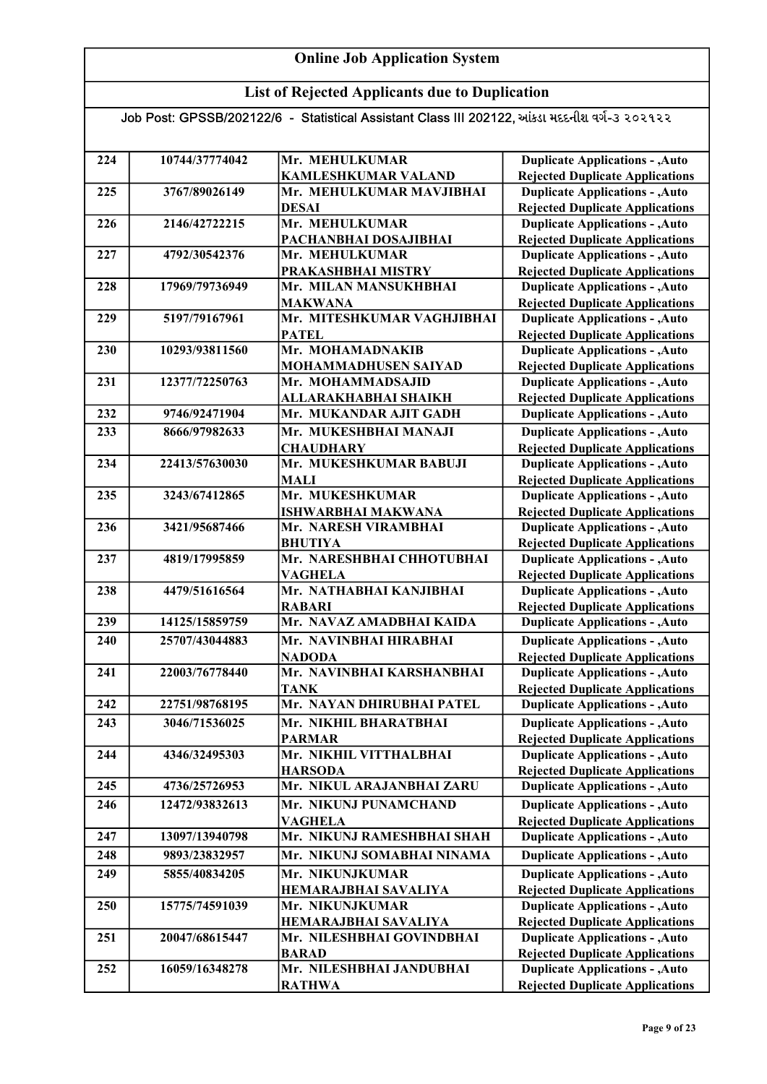## List of Rejected Applicants due to Duplication

| 224 | 10744/37774042 | Mr. MEHULKUMAR             | <b>Duplicate Applications - , Auto</b> |
|-----|----------------|----------------------------|----------------------------------------|
|     |                | <b>KAMLESHKUMAR VALAND</b> | <b>Rejected Duplicate Applications</b> |
| 225 | 3767/89026149  | Mr. MEHULKUMAR MAVJIBHAI   | <b>Duplicate Applications - , Auto</b> |
|     |                | <b>DESAI</b>               | <b>Rejected Duplicate Applications</b> |
| 226 | 2146/42722215  | Mr. MEHULKUMAR             | <b>Duplicate Applications - , Auto</b> |
|     |                | PACHANBHAI DOSAJIBHAI      | <b>Rejected Duplicate Applications</b> |
| 227 | 4792/30542376  | Mr. MEHULKUMAR             | <b>Duplicate Applications - , Auto</b> |
|     |                | PRAKASHBHAI MISTRY         | <b>Rejected Duplicate Applications</b> |
| 228 | 17969/79736949 | Mr. MILAN MANSUKHBHAI      | <b>Duplicate Applications - , Auto</b> |
|     |                | <b>MAKWANA</b>             | <b>Rejected Duplicate Applications</b> |
| 229 | 5197/79167961  | Mr. MITESHKUMAR VAGHJIBHAI | <b>Duplicate Applications - , Auto</b> |
|     |                | <b>PATEL</b>               | <b>Rejected Duplicate Applications</b> |
| 230 | 10293/93811560 | Mr. MOHAMADNAKIB           | <b>Duplicate Applications - , Auto</b> |
|     |                | MOHAMMADHUSEN SAIYAD       | <b>Rejected Duplicate Applications</b> |
| 231 | 12377/72250763 | Mr. MOHAMMADSAJID          | <b>Duplicate Applications - , Auto</b> |
|     |                | ALLARAKHABHAI SHAIKH       | <b>Rejected Duplicate Applications</b> |
| 232 | 9746/92471904  | Mr. MUKANDAR AJIT GADH     | <b>Duplicate Applications - , Auto</b> |
| 233 | 8666/97982633  | Mr. MUKESHBHAI MANAJI      | <b>Duplicate Applications - , Auto</b> |
|     |                | <b>CHAUDHARY</b>           | <b>Rejected Duplicate Applications</b> |
| 234 | 22413/57630030 | Mr. MUKESHKUMAR BABUJI     | <b>Duplicate Applications - , Auto</b> |
|     |                | <b>MALI</b>                | <b>Rejected Duplicate Applications</b> |
| 235 | 3243/67412865  | Mr. MUKESHKUMAR            | <b>Duplicate Applications - , Auto</b> |
|     |                | <b>ISHWARBHAI MAKWANA</b>  | <b>Rejected Duplicate Applications</b> |
| 236 | 3421/95687466  | Mr. NARESH VIRAMBHAI       | <b>Duplicate Applications - , Auto</b> |
|     |                | <b>BHUTIYA</b>             | <b>Rejected Duplicate Applications</b> |
| 237 | 4819/17995859  | Mr. NARESHBHAI CHHOTUBHAI  | <b>Duplicate Applications - , Auto</b> |
|     |                | <b>VAGHELA</b>             | <b>Rejected Duplicate Applications</b> |
| 238 | 4479/51616564  | Mr. NATHABHAI KANJIBHAI    | <b>Duplicate Applications - , Auto</b> |
|     |                | <b>RABARI</b>              | <b>Rejected Duplicate Applications</b> |
| 239 | 14125/15859759 | Mr. NAVAZ AMADBHAI KAIDA   | <b>Duplicate Applications - , Auto</b> |
| 240 | 25707/43044883 | Mr. NAVINBHAI HIRABHAI     | <b>Duplicate Applications - , Auto</b> |
|     |                | <b>NADODA</b>              | <b>Rejected Duplicate Applications</b> |
| 241 | 22003/76778440 | Mr. NAVINBHAI KARSHANBHAI  | <b>Duplicate Applications - , Auto</b> |
|     |                | <b>TANK</b>                | <b>Rejected Duplicate Applications</b> |
| 242 | 22751/98768195 | Mr. NAYAN DHIRUBHAI PATEL  | <b>Duplicate Applications - , Auto</b> |
| 243 | 3046/71536025  | Mr. NIKHIL BHARATBHAI      | <b>Duplicate Applications - , Auto</b> |
|     |                | <b>PARMAR</b>              | <b>Rejected Duplicate Applications</b> |
| 244 | 4346/32495303  | Mr. NIKHIL VITTHALBHAI     | <b>Duplicate Applications - , Auto</b> |
|     |                | <b>HARSODA</b>             | <b>Rejected Duplicate Applications</b> |
| 245 | 4736/25726953  | Mr. NIKUL ARAJANBHAI ZARU  | <b>Duplicate Applications - , Auto</b> |
| 246 | 12472/93832613 | Mr. NIKUNJ PUNAMCHAND      | <b>Duplicate Applications - , Auto</b> |
|     |                | <b>VAGHELA</b>             | <b>Rejected Duplicate Applications</b> |
| 247 | 13097/13940798 | Mr. NIKUNJ RAMESHBHAI SHAH | <b>Duplicate Applications - , Auto</b> |
| 248 | 9893/23832957  | Mr. NIKUNJ SOMABHAI NINAMA | <b>Duplicate Applications - , Auto</b> |
| 249 | 5855/40834205  | Mr. NIKUNJKUMAR            | <b>Duplicate Applications - , Auto</b> |
|     |                | HEMARAJBHAI SAVALIYA       | <b>Rejected Duplicate Applications</b> |
| 250 | 15775/74591039 | Mr. NIKUNJKUMAR            | <b>Duplicate Applications - , Auto</b> |
|     |                | HEMARAJBHAI SAVALIYA       | <b>Rejected Duplicate Applications</b> |
| 251 | 20047/68615447 | Mr. NILESHBHAI GOVINDBHAI  | <b>Duplicate Applications - , Auto</b> |
|     |                | <b>BARAD</b>               | <b>Rejected Duplicate Applications</b> |
| 252 | 16059/16348278 | Mr. NILESHBHAI JANDUBHAI   | <b>Duplicate Applications - , Auto</b> |
|     |                | <b>RATHWA</b>              | <b>Rejected Duplicate Applications</b> |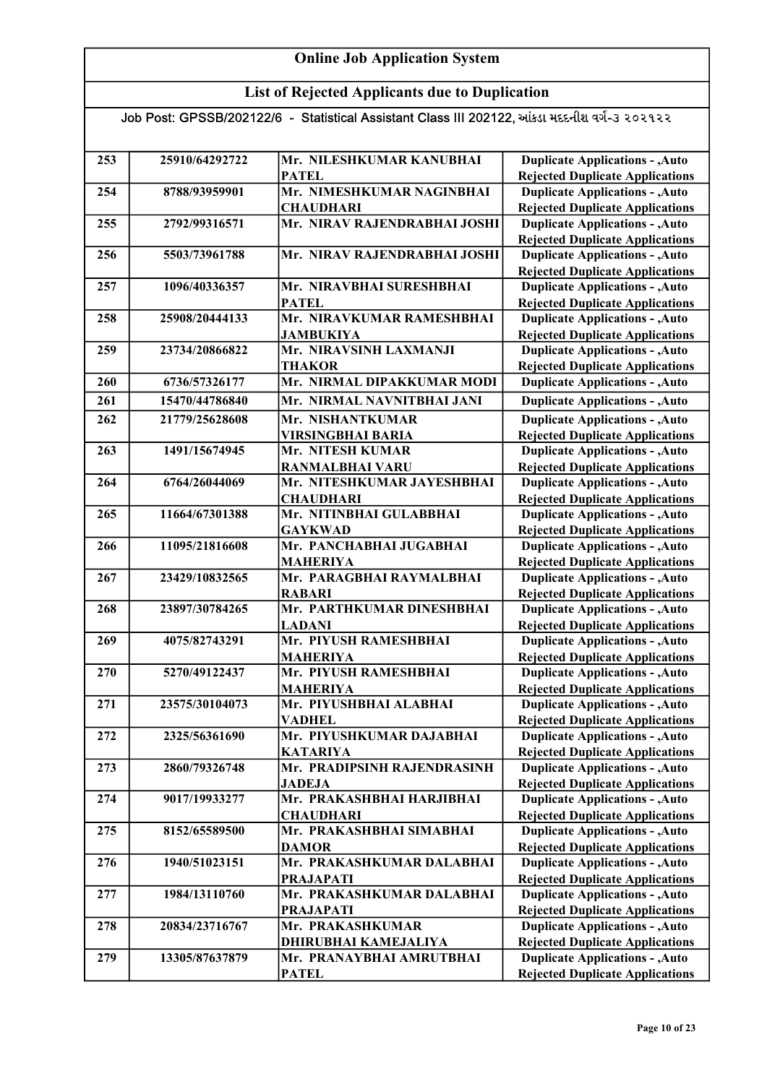## List of Rejected Applicants due to Duplication

| 253 | 25910/64292722 | Mr. NILESHKUMAR KANUBHAI                 | <b>Duplicate Applications - , Auto</b>                                           |
|-----|----------------|------------------------------------------|----------------------------------------------------------------------------------|
|     |                | <b>PATEL</b>                             | <b>Rejected Duplicate Applications</b>                                           |
| 254 | 8788/93959901  | Mr. NIMESHKUMAR NAGINBHAI                | <b>Duplicate Applications - , Auto</b>                                           |
|     |                | <b>CHAUDHARI</b>                         | <b>Rejected Duplicate Applications</b>                                           |
| 255 | 2792/99316571  | Mr. NIRAV RAJENDRABHAI JOSHI             | <b>Duplicate Applications - , Auto</b><br><b>Rejected Duplicate Applications</b> |
| 256 | 5503/73961788  | Mr. NIRAV RAJENDRABHAI JOSHI             | <b>Duplicate Applications - , Auto</b>                                           |
|     |                |                                          | <b>Rejected Duplicate Applications</b>                                           |
| 257 | 1096/40336357  | Mr. NIRAVBHAI SURESHBHAI                 | <b>Duplicate Applications - , Auto</b>                                           |
|     |                | <b>PATEL</b>                             | <b>Rejected Duplicate Applications</b>                                           |
| 258 | 25908/20444133 | Mr. NIRAVKUMAR RAMESHBHAI                | <b>Duplicate Applications - , Auto</b>                                           |
|     |                | <b>JAMBUKIYA</b>                         | <b>Rejected Duplicate Applications</b>                                           |
| 259 | 23734/20866822 | Mr. NIRAVSINH LAXMANJI                   | <b>Duplicate Applications - , Auto</b>                                           |
|     |                | <b>THAKOR</b>                            | <b>Rejected Duplicate Applications</b>                                           |
| 260 | 6736/57326177  | Mr. NIRMAL DIPAKKUMAR MODI               | <b>Duplicate Applications - , Auto</b>                                           |
| 261 | 15470/44786840 | Mr. NIRMAL NAVNITBHAI JANI               | <b>Duplicate Applications - , Auto</b>                                           |
| 262 | 21779/25628608 | Mr. NISHANTKUMAR                         | <b>Duplicate Applications - , Auto</b>                                           |
|     |                | <b>VIRSINGBHAI BARIA</b>                 | <b>Rejected Duplicate Applications</b>                                           |
| 263 | 1491/15674945  | Mr. NITESH KUMAR                         | <b>Duplicate Applications - , Auto</b>                                           |
|     |                | <b>RANMALBHAI VARU</b>                   | <b>Rejected Duplicate Applications</b>                                           |
| 264 | 6764/26044069  | Mr. NITESHKUMAR JAYESHBHAI               | <b>Duplicate Applications - , Auto</b>                                           |
|     |                | <b>CHAUDHARI</b>                         | <b>Rejected Duplicate Applications</b>                                           |
| 265 | 11664/67301388 | Mr. NITINBHAI GULABBHAI                  | <b>Duplicate Applications - , Auto</b>                                           |
|     |                | <b>GAYKWAD</b>                           | <b>Rejected Duplicate Applications</b>                                           |
| 266 | 11095/21816608 | Mr. PANCHABHAI JUGABHAI                  | <b>Duplicate Applications - , Auto</b>                                           |
|     |                | <b>MAHERIYA</b>                          | <b>Rejected Duplicate Applications</b>                                           |
| 267 | 23429/10832565 | Mr. PARAGBHAI RAYMALBHAI                 | Duplicate Applications - , Auto                                                  |
|     |                | <b>RABARI</b>                            | <b>Rejected Duplicate Applications</b>                                           |
| 268 | 23897/30784265 | Mr. PARTHKUMAR DINESHBHAI                | <b>Duplicate Applications - , Auto</b>                                           |
|     |                | <b>LADANI</b>                            | <b>Rejected Duplicate Applications</b>                                           |
| 269 | 4075/82743291  | Mr. PIYUSH RAMESHBHAI                    | <b>Duplicate Applications - , Auto</b>                                           |
| 270 | 5270/49122437  | <b>MAHERIYA</b>                          | <b>Rejected Duplicate Applications</b>                                           |
|     |                | Mr. PIYUSH RAMESHBHAI<br><b>MAHERIYA</b> | <b>Duplicate Applications - , Auto</b>                                           |
| 271 | 23575/30104073 | Mr. PIYUSHBHAI ALABHAI                   | <b>Rejected Duplicate Applications</b><br><b>Duplicate Applications - , Auto</b> |
|     |                | <b>VADHEL</b>                            | <b>Rejected Duplicate Applications</b>                                           |
| 272 | 2325/56361690  | Mr. PIYUSHKUMAR DAJABHAI                 | <b>Duplicate Applications - , Auto</b>                                           |
|     |                | <b>KATARIYA</b>                          | <b>Rejected Duplicate Applications</b>                                           |
| 273 | 2860/79326748  | Mr. PRADIPSINH RAJENDRASINH              | <b>Duplicate Applications - , Auto</b>                                           |
|     |                | <b>JADEJA</b>                            | <b>Rejected Duplicate Applications</b>                                           |
| 274 | 9017/19933277  | Mr. PRAKASHBHAI HARJIBHAI                | <b>Duplicate Applications - , Auto</b>                                           |
|     |                | <b>CHAUDHARI</b>                         | <b>Rejected Duplicate Applications</b>                                           |
| 275 | 8152/65589500  | Mr. PRAKASHBHAI SIMABHAI                 | <b>Duplicate Applications - , Auto</b>                                           |
|     |                | <b>DAMOR</b>                             | <b>Rejected Duplicate Applications</b>                                           |
| 276 | 1940/51023151  | Mr. PRAKASHKUMAR DALABHAI                | <b>Duplicate Applications - , Auto</b>                                           |
|     |                | <b>PRAJAPATI</b>                         | <b>Rejected Duplicate Applications</b>                                           |
| 277 | 1984/13110760  | Mr. PRAKASHKUMAR DALABHAI                | <b>Duplicate Applications - , Auto</b>                                           |
|     |                | <b>PRAJAPATI</b>                         | <b>Rejected Duplicate Applications</b>                                           |
| 278 | 20834/23716767 | Mr. PRAKASHKUMAR                         | <b>Duplicate Applications - , Auto</b>                                           |
|     |                | DHIRUBHAI KAMEJALIYA                     | <b>Rejected Duplicate Applications</b>                                           |
| 279 | 13305/87637879 | Mr. PRANAYBHAI AMRUTBHAI                 | <b>Duplicate Applications - , Auto</b>                                           |
|     |                | <b>PATEL</b>                             | <b>Rejected Duplicate Applications</b>                                           |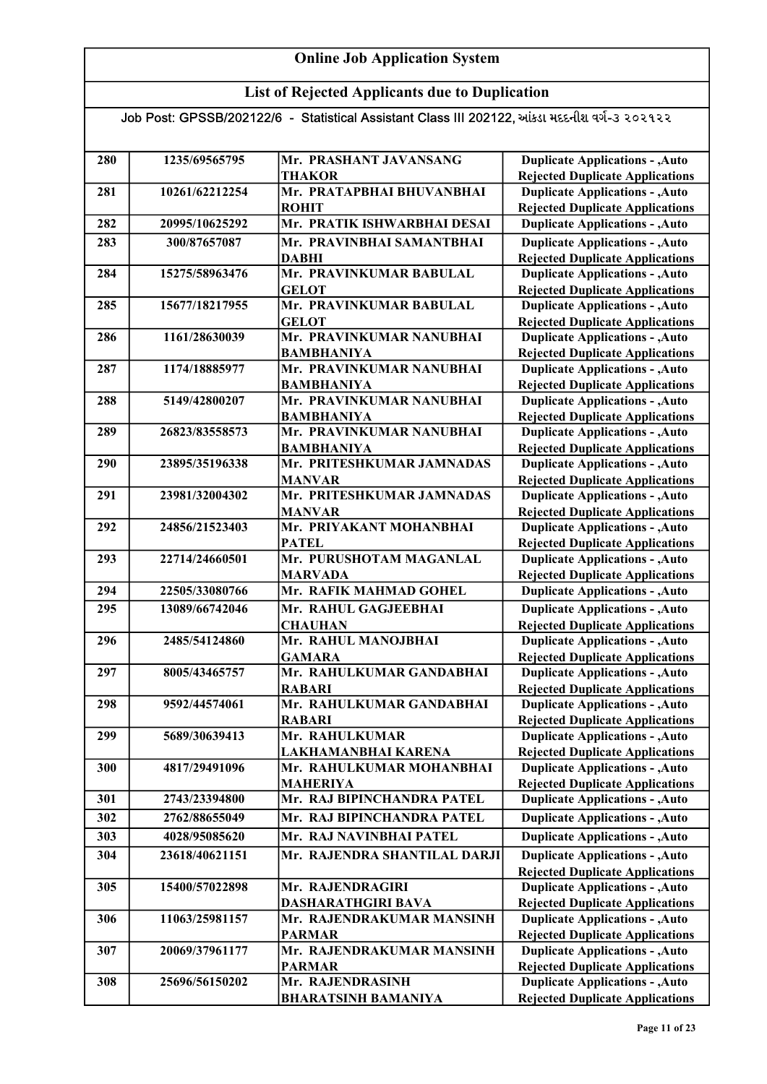## List of Rejected Applicants due to Duplication

| 280 | 1235/69565795  | Mr. PRASHANT JAVANSANG                        | <b>Duplicate Applications - , Auto</b>                                           |
|-----|----------------|-----------------------------------------------|----------------------------------------------------------------------------------|
| 281 | 10261/62212254 | THAKOR<br>Mr. PRATAPBHAI BHUVANBHAI           | <b>Rejected Duplicate Applications</b><br><b>Duplicate Applications - , Auto</b> |
|     |                |                                               |                                                                                  |
| 282 | 20995/10625292 | <b>ROHIT</b><br>Mr. PRATIK ISHWARBHAI DESAI   | <b>Rejected Duplicate Applications</b><br><b>Duplicate Applications - , Auto</b> |
|     |                |                                               |                                                                                  |
| 283 | 300/87657087   | Mr. PRAVINBHAI SAMANTBHAI                     | <b>Duplicate Applications - , Auto</b>                                           |
|     |                | <b>DABHI</b>                                  | <b>Rejected Duplicate Applications</b>                                           |
| 284 | 15275/58963476 | Mr. PRAVINKUMAR BABULAL                       | <b>Duplicate Applications - , Auto</b>                                           |
|     |                | <b>GELOT</b><br>Mr. PRAVINKUMAR BABULAL       | <b>Rejected Duplicate Applications</b>                                           |
| 285 | 15677/18217955 | <b>GELOT</b>                                  | <b>Duplicate Applications - , Auto</b><br><b>Rejected Duplicate Applications</b> |
| 286 | 1161/28630039  | Mr. PRAVINKUMAR NANUBHAI                      | <b>Duplicate Applications - , Auto</b>                                           |
|     |                | <b>BAMBHANIYA</b>                             | <b>Rejected Duplicate Applications</b>                                           |
| 287 | 1174/18885977  | Mr. PRAVINKUMAR NANUBHAI                      | <b>Duplicate Applications - , Auto</b>                                           |
|     |                | <b>BAMBHANIYA</b>                             | <b>Rejected Duplicate Applications</b>                                           |
| 288 | 5149/42800207  | Mr. PRAVINKUMAR NANUBHAI                      | <b>Duplicate Applications - , Auto</b>                                           |
|     |                | <b>BAMBHANIYA</b>                             | <b>Rejected Duplicate Applications</b>                                           |
| 289 | 26823/83558573 | Mr. PRAVINKUMAR NANUBHAI                      | <b>Duplicate Applications - , Auto</b>                                           |
|     |                | <b>BAMBHANIYA</b>                             | <b>Rejected Duplicate Applications</b>                                           |
| 290 | 23895/35196338 | Mr. PRITESHKUMAR JAMNADAS                     | <b>Duplicate Applications - , Auto</b>                                           |
|     |                | <b>MANVAR</b>                                 | <b>Rejected Duplicate Applications</b>                                           |
| 291 | 23981/32004302 | Mr. PRITESHKUMAR JAMNADAS                     | <b>Duplicate Applications - , Auto</b>                                           |
|     |                | <b>MANVAR</b>                                 | <b>Rejected Duplicate Applications</b>                                           |
| 292 | 24856/21523403 | Mr. PRIYAKANT MOHANBHAI                       | <b>Duplicate Applications - , Auto</b>                                           |
|     |                | <b>PATEL</b>                                  | <b>Rejected Duplicate Applications</b>                                           |
| 293 | 22714/24660501 | Mr. PURUSHOTAM MAGANLAL                       | <b>Duplicate Applications - , Auto</b>                                           |
|     |                | <b>MARVADA</b>                                | <b>Rejected Duplicate Applications</b>                                           |
| 294 | 22505/33080766 | Mr. RAFIK MAHMAD GOHEL                        | <b>Duplicate Applications - , Auto</b>                                           |
| 295 | 13089/66742046 | Mr. RAHUL GAGJEEBHAI                          | <b>Duplicate Applications - , Auto</b>                                           |
|     |                | <b>CHAUHAN</b>                                | <b>Rejected Duplicate Applications</b>                                           |
| 296 | 2485/54124860  | Mr. RAHUL MANOJBHAI                           | <b>Duplicate Applications - , Auto</b>                                           |
|     |                | <b>GAMARA</b>                                 | <b>Rejected Duplicate Applications</b>                                           |
| 297 | 8005/43465757  | Mr. RAHULKUMAR GANDABHAI                      | <b>Duplicate Applications - , Auto</b>                                           |
|     |                | <b>RABARI</b>                                 | <b>Rejected Duplicate Applications</b>                                           |
| 298 | 9592/44574061  | Mr. RAHULKUMAR GANDABHAI                      | <b>Duplicate Applications - , Auto</b>                                           |
| 299 | 5689/30639413  | <b>RABARI</b><br>Mr. RAHULKUMAR               | <b>Rejected Duplicate Applications</b><br><b>Duplicate Applications - , Auto</b> |
|     |                | LAKHAMANBHAI KARENA                           | <b>Rejected Duplicate Applications</b>                                           |
| 300 | 4817/29491096  | Mr. RAHULKUMAR MOHANBHAI                      | <b>Duplicate Applications - , Auto</b>                                           |
|     |                | <b>MAHERIYA</b>                               | <b>Rejected Duplicate Applications</b>                                           |
| 301 | 2743/23394800  | Mr. RAJ BIPINCHANDRA PATEL                    | <b>Duplicate Applications - , Auto</b>                                           |
| 302 | 2762/88655049  | Mr. RAJ BIPINCHANDRA PATEL                    | <b>Duplicate Applications - , Auto</b>                                           |
|     |                |                                               |                                                                                  |
| 303 | 4028/95085620  | Mr. RAJ NAVINBHAI PATEL                       | <b>Duplicate Applications - , Auto</b>                                           |
| 304 | 23618/40621151 | Mr. RAJENDRA SHANTILAL DARJI                  | <b>Duplicate Applications - , Auto</b>                                           |
|     |                |                                               | <b>Rejected Duplicate Applications</b>                                           |
| 305 | 15400/57022898 | Mr. RAJENDRAGIRI<br><b>DASHARATHGIRI BAVA</b> | <b>Duplicate Applications - , Auto</b>                                           |
| 306 | 11063/25981157 | Mr. RAJENDRAKUMAR MANSINH                     | <b>Rejected Duplicate Applications</b><br><b>Duplicate Applications - , Auto</b> |
|     |                | <b>PARMAR</b>                                 | <b>Rejected Duplicate Applications</b>                                           |
| 307 | 20069/37961177 | Mr. RAJENDRAKUMAR MANSINH                     | <b>Duplicate Applications - , Auto</b>                                           |
|     |                | <b>PARMAR</b>                                 | <b>Rejected Duplicate Applications</b>                                           |
| 308 | 25696/56150202 | Mr. RAJENDRASINH                              | <b>Duplicate Applications - , Auto</b>                                           |
|     |                | <b>BHARATSINH BAMANIYA</b>                    | <b>Rejected Duplicate Applications</b>                                           |
|     |                |                                               |                                                                                  |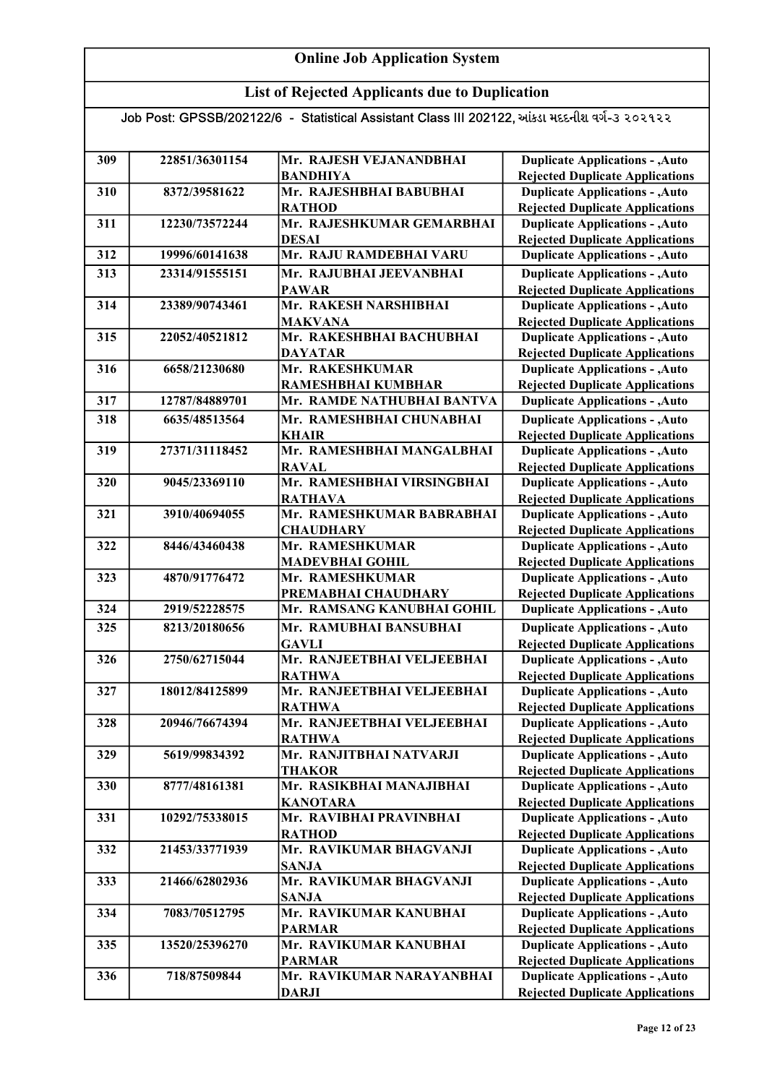## List of Rejected Applicants due to Duplication

| 309 | 22851/36301154 | Mr. RAJESH VEJANANDBHAI                    | <b>Duplicate Applications - , Auto</b>                                           |
|-----|----------------|--------------------------------------------|----------------------------------------------------------------------------------|
|     |                | <b>BANDHIYA</b>                            | <b>Rejected Duplicate Applications</b>                                           |
| 310 | 8372/39581622  | Mr. RAJESHBHAI BABUBHAI                    | <b>Duplicate Applications - , Auto</b>                                           |
|     |                | <b>RATHOD</b>                              | <b>Rejected Duplicate Applications</b>                                           |
| 311 | 12230/73572244 | Mr. RAJESHKUMAR GEMARBHAI                  | <b>Duplicate Applications - , Auto</b>                                           |
|     |                | <b>DESAI</b>                               | <b>Rejected Duplicate Applications</b>                                           |
| 312 | 19996/60141638 | Mr. RAJU RAMDEBHAI VARU                    | <b>Duplicate Applications - , Auto</b>                                           |
| 313 | 23314/91555151 | Mr. RAJUBHAI JEEVANBHAI                    | <b>Duplicate Applications - , Auto</b>                                           |
|     |                | <b>PAWAR</b>                               | <b>Rejected Duplicate Applications</b>                                           |
| 314 | 23389/90743461 | Mr. RAKESH NARSHIBHAI                      | <b>Duplicate Applications - , Auto</b>                                           |
|     |                | <b>MAKVANA</b>                             | <b>Rejected Duplicate Applications</b>                                           |
| 315 | 22052/40521812 | Mr. RAKESHBHAI BACHUBHAI                   | <b>Duplicate Applications - , Auto</b>                                           |
|     |                | <b>DAYATAR</b>                             | <b>Rejected Duplicate Applications</b>                                           |
| 316 | 6658/21230680  | Mr. RAKESHKUMAR                            | <b>Duplicate Applications - , Auto</b>                                           |
|     |                | RAMESHBHAI KUMBHAR                         | <b>Rejected Duplicate Applications</b>                                           |
| 317 | 12787/84889701 | Mr. RAMDE NATHUBHAI BANTVA                 | <b>Duplicate Applications - , Auto</b>                                           |
| 318 | 6635/48513564  | Mr. RAMESHBHAI CHUNABHAI                   | <b>Duplicate Applications - , Auto</b>                                           |
|     |                | <b>KHAIR</b>                               | <b>Rejected Duplicate Applications</b>                                           |
| 319 | 27371/31118452 | Mr. RAMESHBHAI MANGALBHAI                  | <b>Duplicate Applications - , Auto</b>                                           |
|     |                | <b>RAVAL</b>                               | <b>Rejected Duplicate Applications</b>                                           |
| 320 | 9045/23369110  | Mr. RAMESHBHAI VIRSINGBHAI                 | <b>Duplicate Applications - , Auto</b>                                           |
|     |                | <b>RATHAVA</b>                             | <b>Rejected Duplicate Applications</b>                                           |
| 321 | 3910/40694055  | Mr. RAMESHKUMAR BABRABHAI                  | <b>Duplicate Applications - , Auto</b>                                           |
|     |                | <b>CHAUDHARY</b>                           | <b>Rejected Duplicate Applications</b>                                           |
| 322 | 8446/43460438  | Mr. RAMESHKUMAR                            | <b>Duplicate Applications - , Auto</b>                                           |
|     |                | <b>MADEVBHAI GOHIL</b>                     | <b>Rejected Duplicate Applications</b>                                           |
| 323 | 4870/91776472  | Mr. RAMESHKUMAR                            | <b>Duplicate Applications - , Auto</b>                                           |
|     |                | PREMABHAI CHAUDHARY                        | <b>Rejected Duplicate Applications</b>                                           |
| 324 | 2919/52228575  | Mr. RAMSANG KANUBHAI GOHIL                 | <b>Duplicate Applications - , Auto</b>                                           |
| 325 | 8213/20180656  | Mr. RAMUBHAI BANSUBHAI                     | <b>Duplicate Applications - , Auto</b>                                           |
|     |                | <b>GAVLI</b>                               | <b>Rejected Duplicate Applications</b>                                           |
| 326 | 2750/62715044  | Mr. RANJEETBHAI VELJEEBHAI                 | <b>Duplicate Applications - , Auto</b>                                           |
|     |                | <b>RATHWA</b>                              | <b>Rejected Duplicate Applications</b>                                           |
| 327 | 18012/84125899 | Mr. RANJEETBHAI VELJEEBHAI                 | <b>Duplicate Applications - , Auto</b>                                           |
|     |                | <b>RATHWA</b>                              | <b>Rejected Duplicate Applications</b>                                           |
| 328 | 20946/76674394 | Mr. RANJEETBHAI VELJEEBHAI                 | <b>Duplicate Applications - , Auto</b>                                           |
|     |                | <b>RATHWA</b>                              | <b>Rejected Duplicate Applications</b>                                           |
| 329 | 5619/99834392  | Mr. RANJITBHAI NATVARJI                    | <b>Duplicate Applications - , Auto</b>                                           |
|     |                | <b>THAKOR</b>                              | <b>Rejected Duplicate Applications</b>                                           |
| 330 | 8777/48161381  | Mr. RASIKBHAI MANAJIBHAI                   | <b>Duplicate Applications - , Auto</b>                                           |
|     |                | <b>KANOTARA</b><br>Mr. RAVIBHAI PRAVINBHAI | <b>Rejected Duplicate Applications</b>                                           |
| 331 | 10292/75338015 |                                            | <b>Duplicate Applications - , Auto</b>                                           |
|     | 21453/33771939 | <b>RATHOD</b>                              | <b>Rejected Duplicate Applications</b>                                           |
| 332 |                | Mr. RAVIKUMAR BHAGVANJI                    | <b>Duplicate Applications - , Auto</b>                                           |
|     |                | <b>SANJA</b>                               | <b>Rejected Duplicate Applications</b>                                           |
| 333 | 21466/62802936 | Mr. RAVIKUMAR BHAGVANJI<br><b>SANJA</b>    | <b>Duplicate Applications - , Auto</b>                                           |
|     |                |                                            | <b>Rejected Duplicate Applications</b>                                           |
| 334 | 7083/70512795  | Mr. RAVIKUMAR KANUBHAI<br><b>PARMAR</b>    | <b>Duplicate Applications - , Auto</b>                                           |
| 335 | 13520/25396270 | Mr. RAVIKUMAR KANUBHAI                     | <b>Rejected Duplicate Applications</b><br><b>Duplicate Applications - , Auto</b> |
|     |                |                                            |                                                                                  |
| 336 | 718/87509844   | <b>PARMAR</b><br>Mr. RAVIKUMAR NARAYANBHAI | <b>Rejected Duplicate Applications</b><br><b>Duplicate Applications - , Auto</b> |
|     |                |                                            |                                                                                  |
|     |                | <b>DARJI</b>                               | <b>Rejected Duplicate Applications</b>                                           |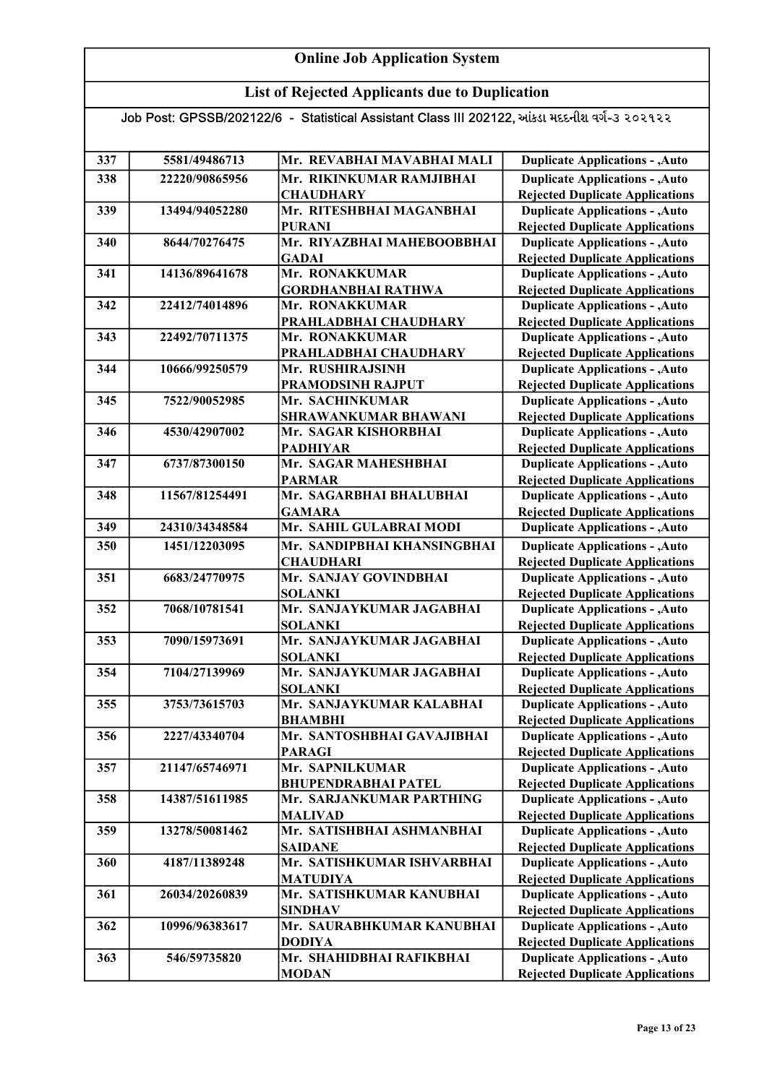## List of Rejected Applicants due to Duplication

| 337 | 5581/49486713  | Mr. REVABHAI MAVABHAI MALI  | <b>Duplicate Applications - , Auto</b> |
|-----|----------------|-----------------------------|----------------------------------------|
| 338 | 22220/90865956 | Mr. RIKINKUMAR RAMJIBHAI    | <b>Duplicate Applications - , Auto</b> |
|     |                | <b>CHAUDHARY</b>            | <b>Rejected Duplicate Applications</b> |
| 339 | 13494/94052280 | Mr. RITESHBHAI MAGANBHAI    | <b>Duplicate Applications - , Auto</b> |
|     |                | <b>PURANI</b>               | <b>Rejected Duplicate Applications</b> |
| 340 | 8644/70276475  | Mr. RIYAZBHAI MAHEBOOBBHAI  | <b>Duplicate Applications - , Auto</b> |
|     |                | <b>GADAI</b>                | <b>Rejected Duplicate Applications</b> |
| 341 | 14136/89641678 | Mr. RONAKKUMAR              | <b>Duplicate Applications - , Auto</b> |
|     |                | <b>GORDHANBHAI RATHWA</b>   | <b>Rejected Duplicate Applications</b> |
| 342 | 22412/74014896 | Mr. RONAKKUMAR              | <b>Duplicate Applications - , Auto</b> |
|     |                | PRAHLADBHAI CHAUDHARY       | <b>Rejected Duplicate Applications</b> |
| 343 | 22492/70711375 | Mr. RONAKKUMAR              | <b>Duplicate Applications - , Auto</b> |
|     |                | PRAHLADBHAI CHAUDHARY       | <b>Rejected Duplicate Applications</b> |
| 344 | 10666/99250579 | Mr. RUSHIRAJSINH            | <b>Duplicate Applications - , Auto</b> |
|     |                | PRAMODSINH RAJPUT           | <b>Rejected Duplicate Applications</b> |
| 345 | 7522/90052985  | Mr. SACHINKUMAR             | <b>Duplicate Applications - , Auto</b> |
|     |                | SHRAWANKUMAR BHAWANI        | <b>Rejected Duplicate Applications</b> |
| 346 | 4530/42907002  | Mr. SAGAR KISHORBHAI        | <b>Duplicate Applications - , Auto</b> |
|     |                | <b>PADHIYAR</b>             | <b>Rejected Duplicate Applications</b> |
| 347 | 6737/87300150  | Mr. SAGAR MAHESHBHAI        | <b>Duplicate Applications - , Auto</b> |
|     |                | <b>PARMAR</b>               | <b>Rejected Duplicate Applications</b> |
| 348 | 11567/81254491 | Mr. SAGARBHAI BHALUBHAI     | <b>Duplicate Applications - , Auto</b> |
|     |                | <b>GAMARA</b>               | <b>Rejected Duplicate Applications</b> |
| 349 | 24310/34348584 | Mr. SAHIL GULABRAI MODI     | <b>Duplicate Applications - , Auto</b> |
| 350 | 1451/12203095  | Mr. SANDIPBHAI KHANSINGBHAI | <b>Duplicate Applications - , Auto</b> |
|     |                | <b>CHAUDHARI</b>            | <b>Rejected Duplicate Applications</b> |
| 351 | 6683/24770975  | Mr. SANJAY GOVINDBHAI       | <b>Duplicate Applications - , Auto</b> |
|     |                | <b>SOLANKI</b>              | <b>Rejected Duplicate Applications</b> |
| 352 | 7068/10781541  | Mr. SANJAYKUMAR JAGABHAI    | <b>Duplicate Applications - , Auto</b> |
|     |                | <b>SOLANKI</b>              | <b>Rejected Duplicate Applications</b> |
| 353 | 7090/15973691  | Mr. SANJAYKUMAR JAGABHAI    | <b>Duplicate Applications - , Auto</b> |
|     |                | <b>SOLANKI</b>              | <b>Rejected Duplicate Applications</b> |
| 354 | 7104/27139969  | Mr. SANJAYKUMAR JAGABHAI    | <b>Duplicate Applications - , Auto</b> |
|     |                | <b>SOLANKI</b>              | <b>Rejected Duplicate Applications</b> |
| 355 | 3753/73615703  | Mr. SANJAYKUMAR KALABHAI    | <b>Duplicate Applications - , Auto</b> |
|     |                | <b>BHAMBHI</b>              | <b>Rejected Duplicate Applications</b> |
| 356 | 2227/43340704  | Mr. SANTOSHBHAI GAVAJIBHAI  | <b>Duplicate Applications - , Auto</b> |
|     |                | <b>PARAGI</b>               | <b>Rejected Duplicate Applications</b> |
| 357 | 21147/65746971 | Mr. SAPNILKUMAR             | <b>Duplicate Applications - , Auto</b> |
|     |                | <b>BHUPENDRABHAI PATEL</b>  | <b>Rejected Duplicate Applications</b> |
| 358 | 14387/51611985 | Mr. SARJANKUMAR PARTHING    | <b>Duplicate Applications - , Auto</b> |
|     |                | <b>MALIVAD</b>              | <b>Rejected Duplicate Applications</b> |
| 359 | 13278/50081462 | Mr. SATISHBHAI ASHMANBHAI   | <b>Duplicate Applications - , Auto</b> |
|     |                | <b>SAIDANE</b>              | <b>Rejected Duplicate Applications</b> |
| 360 | 4187/11389248  | Mr. SATISHKUMAR ISHVARBHAI  | <b>Duplicate Applications - , Auto</b> |
|     |                | <b>MATUDIYA</b>             | <b>Rejected Duplicate Applications</b> |
| 361 | 26034/20260839 | Mr. SATISHKUMAR KANUBHAI    | <b>Duplicate Applications - , Auto</b> |
|     |                | <b>SINDHAV</b>              | <b>Rejected Duplicate Applications</b> |
| 362 | 10996/96383617 | Mr. SAURABHKUMAR KANUBHAI   | <b>Duplicate Applications - , Auto</b> |
|     |                | <b>DODIYA</b>               | <b>Rejected Duplicate Applications</b> |
| 363 | 546/59735820   | Mr. SHAHIDBHAI RAFIKBHAI    | <b>Duplicate Applications - , Auto</b> |
|     |                | <b>MODAN</b>                | <b>Rejected Duplicate Applications</b> |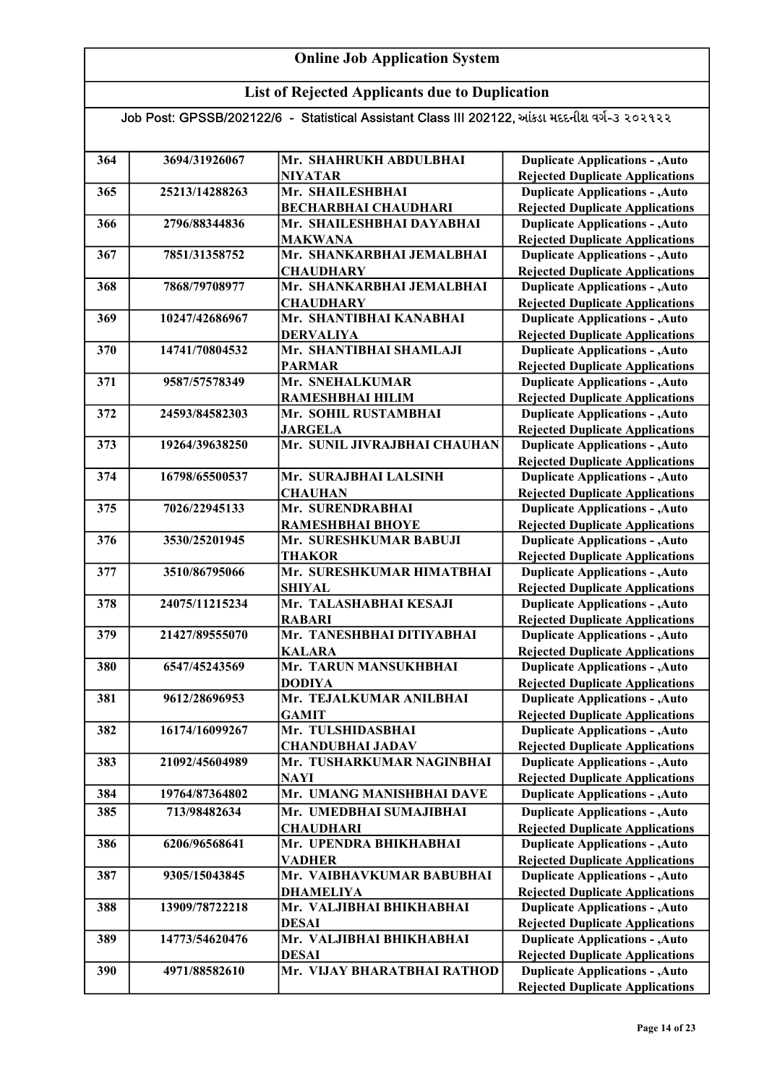## List of Rejected Applicants due to Duplication

| 364 | 3694/31926067  | Mr. SHAHRUKH ABDULBHAI                   | <b>Duplicate Applications - , Auto</b> |
|-----|----------------|------------------------------------------|----------------------------------------|
|     |                | <b>NIYATAR</b>                           | <b>Rejected Duplicate Applications</b> |
| 365 | 25213/14288263 | Mr. SHAILESHBHAI                         | <b>Duplicate Applications - , Auto</b> |
|     |                | <b>BECHARBHAI CHAUDHARI</b>              | <b>Rejected Duplicate Applications</b> |
| 366 | 2796/88344836  | Mr. SHAILESHBHAI DAYABHAI                | <b>Duplicate Applications - , Auto</b> |
|     |                | <b>MAKWANA</b>                           | <b>Rejected Duplicate Applications</b> |
| 367 | 7851/31358752  | Mr. SHANKARBHAI JEMALBHAI                | <b>Duplicate Applications - , Auto</b> |
|     |                | <b>CHAUDHARY</b>                         | <b>Rejected Duplicate Applications</b> |
| 368 | 7868/79708977  | Mr. SHANKARBHAI JEMALBHAI                | <b>Duplicate Applications - , Auto</b> |
|     |                | <b>CHAUDHARY</b>                         | <b>Rejected Duplicate Applications</b> |
| 369 | 10247/42686967 | Mr. SHANTIBHAI KANABHAI                  | <b>Duplicate Applications - , Auto</b> |
|     |                | <b>DERVALIYA</b>                         | <b>Rejected Duplicate Applications</b> |
| 370 | 14741/70804532 | Mr. SHANTIBHAI SHAMLAJI                  | <b>Duplicate Applications - , Auto</b> |
|     |                | <b>PARMAR</b>                            | <b>Rejected Duplicate Applications</b> |
| 371 | 9587/57578349  | Mr. SNEHALKUMAR                          | <b>Duplicate Applications - , Auto</b> |
|     |                | RAMESHBHAI HILIM                         | <b>Rejected Duplicate Applications</b> |
| 372 | 24593/84582303 | Mr. SOHIL RUSTAMBHAI                     | <b>Duplicate Applications - , Auto</b> |
|     |                | <b>JARGELA</b>                           | <b>Rejected Duplicate Applications</b> |
| 373 | 19264/39638250 | Mr. SUNIL JIVRAJBHAI CHAUHAN             | <b>Duplicate Applications - , Auto</b> |
|     |                |                                          | <b>Rejected Duplicate Applications</b> |
| 374 | 16798/65500537 | Mr. SURAJBHAI LALSINH                    | <b>Duplicate Applications - , Auto</b> |
|     |                | <b>CHAUHAN</b>                           | <b>Rejected Duplicate Applications</b> |
| 375 | 7026/22945133  | Mr. SURENDRABHAI                         | <b>Duplicate Applications - , Auto</b> |
|     |                | <b>RAMESHBHAI BHOYE</b>                  | <b>Rejected Duplicate Applications</b> |
| 376 | 3530/25201945  | Mr. SURESHKUMAR BABUJI                   | <b>Duplicate Applications - , Auto</b> |
|     |                | <b>THAKOR</b>                            | <b>Rejected Duplicate Applications</b> |
| 377 | 3510/86795066  | Mr. SURESHKUMAR HIMATBHAI                | <b>Duplicate Applications - , Auto</b> |
|     |                | <b>SHIYAL</b>                            | <b>Rejected Duplicate Applications</b> |
| 378 | 24075/11215234 | Mr. TALASHABHAI KESAJI                   | <b>Duplicate Applications - , Auto</b> |
|     |                | <b>RABARI</b>                            | <b>Rejected Duplicate Applications</b> |
| 379 | 21427/89555070 | Mr. TANESHBHAI DITIYABHAI                | <b>Duplicate Applications - , Auto</b> |
|     |                | <b>KALARA</b>                            | <b>Rejected Duplicate Applications</b> |
| 380 | 6547/45243569  | Mr. TARUN MANSUKHBHAI                    | <b>Duplicate Applications - , Auto</b> |
|     |                | <b>DODIYA</b>                            | <b>Rejected Duplicate Applications</b> |
| 381 | 9612/28696953  | Mr. TEJALKUMAR ANILBHAI                  | <b>Duplicate Applications - , Auto</b> |
|     |                | <b>GAMIT</b>                             | <b>Rejected Duplicate Applications</b> |
| 382 | 16174/16099267 | Mr. TULSHIDASBHAI                        | <b>Duplicate Applications - , Auto</b> |
|     |                | <b>CHANDUBHAI JADAV</b>                  | <b>Rejected Duplicate Applications</b> |
| 383 | 21092/45604989 | Mr. TUSHARKUMAR NAGINBHAI                | <b>Duplicate Applications - , Auto</b> |
|     |                | <b>NAYI</b>                              | <b>Rejected Duplicate Applications</b> |
| 384 | 19764/87364802 | Mr. UMANG MANISHBHAI DAVE                | <b>Duplicate Applications - , Auto</b> |
| 385 | 713/98482634   | Mr. UMEDBHAI SUMAJIBHAI                  | <b>Duplicate Applications - , Auto</b> |
|     |                | <b>CHAUDHARI</b>                         | <b>Rejected Duplicate Applications</b> |
| 386 | 6206/96568641  | Mr. UPENDRA BHIKHABHAI                   | <b>Duplicate Applications - , Auto</b> |
|     |                | <b>VADHER</b>                            | <b>Rejected Duplicate Applications</b> |
| 387 | 9305/15043845  | Mr. VAIBHAVKUMAR BABUBHAI                | <b>Duplicate Applications - , Auto</b> |
|     |                | <b>DHAMELIYA</b>                         | <b>Rejected Duplicate Applications</b> |
| 388 | 13909/78722218 | Mr. VALJIBHAI BHIKHABHAI                 | <b>Duplicate Applications - , Auto</b> |
|     |                |                                          |                                        |
| 389 | 14773/54620476 | <b>DESAI</b><br>Mr. VALJIBHAI BHIKHABHAI | <b>Rejected Duplicate Applications</b> |
|     |                |                                          | <b>Duplicate Applications - , Auto</b> |
|     |                | <b>DESAI</b>                             | <b>Rejected Duplicate Applications</b> |
| 390 | 4971/88582610  | Mr. VIJAY BHARATBHAI RATHOD              | <b>Duplicate Applications - , Auto</b> |
|     |                |                                          | <b>Rejected Duplicate Applications</b> |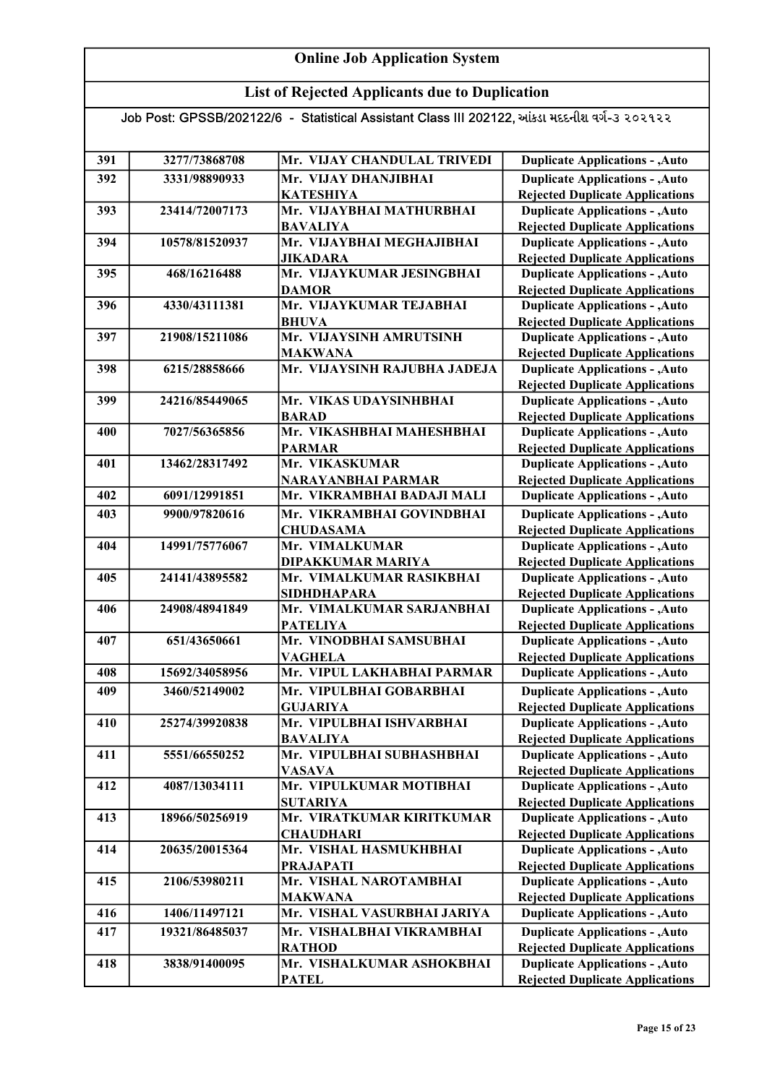## List of Rejected Applicants due to Duplication

| 391 | 3277/73868708  | Mr. VIJAY CHANDULAL TRIVEDI                             | <b>Duplicate Applications - , Auto</b>                                           |
|-----|----------------|---------------------------------------------------------|----------------------------------------------------------------------------------|
| 392 | 3331/98890933  | Mr. VIJAY DHANJIBHAI                                    | <b>Duplicate Applications - , Auto</b>                                           |
|     |                | <b>KATESHIYA</b>                                        | <b>Rejected Duplicate Applications</b>                                           |
| 393 | 23414/72007173 | Mr. VIJAYBHAI MATHURBHAI                                | <b>Duplicate Applications - , Auto</b>                                           |
|     |                | <b>BAVALIYA</b>                                         | <b>Rejected Duplicate Applications</b>                                           |
| 394 | 10578/81520937 | Mr. VIJAYBHAI MEGHAJIBHAI                               | <b>Duplicate Applications - , Auto</b>                                           |
|     |                | <b>JIKADARA</b>                                         | <b>Rejected Duplicate Applications</b>                                           |
| 395 | 468/16216488   | Mr. VIJAYKUMAR JESINGBHAI                               | <b>Duplicate Applications - , Auto</b>                                           |
|     |                | <b>DAMOR</b>                                            | <b>Rejected Duplicate Applications</b>                                           |
| 396 | 4330/43111381  | Mr. VIJAYKUMAR TEJABHAI                                 | <b>Duplicate Applications - , Auto</b>                                           |
|     |                | <b>BHUVA</b>                                            | <b>Rejected Duplicate Applications</b>                                           |
| 397 | 21908/15211086 | Mr. VIJAYSINH AMRUTSINH                                 | <b>Duplicate Applications - , Auto</b>                                           |
|     |                | <b>MAKWANA</b>                                          | <b>Rejected Duplicate Applications</b>                                           |
| 398 | 6215/28858666  | Mr. VIJAYSINH RAJUBHA JADEJA                            | <b>Duplicate Applications - , Auto</b>                                           |
|     |                |                                                         | <b>Rejected Duplicate Applications</b>                                           |
| 399 | 24216/85449065 | Mr. VIKAS UDAYSINHBHAI                                  | <b>Duplicate Applications - , Auto</b>                                           |
|     |                | <b>BARAD</b>                                            | <b>Rejected Duplicate Applications</b>                                           |
| 400 | 7027/56365856  | Mr. VIKASHBHAI MAHESHBHAI                               | <b>Duplicate Applications - , Auto</b>                                           |
|     |                | <b>PARMAR</b>                                           | <b>Rejected Duplicate Applications</b>                                           |
| 401 | 13462/28317492 | Mr. VIKASKUMAR                                          | <b>Duplicate Applications - , Auto</b>                                           |
| 402 | 6091/12991851  | <b>NARAYANBHAI PARMAR</b><br>Mr. VIKRAMBHAI BADAJI MALI | <b>Rejected Duplicate Applications</b><br><b>Duplicate Applications - , Auto</b> |
|     |                |                                                         |                                                                                  |
| 403 | 9900/97820616  | Mr. VIKRAMBHAI GOVINDBHAI                               | <b>Duplicate Applications - , Auto</b>                                           |
| 404 | 14991/75776067 | <b>CHUDASAMA</b><br>Mr. VIMALKUMAR                      | <b>Rejected Duplicate Applications</b><br><b>Duplicate Applications - , Auto</b> |
|     |                | DIPAKKUMAR MARIYA                                       | <b>Rejected Duplicate Applications</b>                                           |
| 405 | 24141/43895582 | Mr. VIMALKUMAR RASIKBHAI                                | <b>Duplicate Applications - , Auto</b>                                           |
|     |                | <b>SIDHDHAPARA</b>                                      | <b>Rejected Duplicate Applications</b>                                           |
| 406 | 24908/48941849 | Mr. VIMALKUMAR SARJANBHAI                               | <b>Duplicate Applications - , Auto</b>                                           |
|     |                | <b>PATELIYA</b>                                         | <b>Rejected Duplicate Applications</b>                                           |
| 407 | 651/43650661   | Mr. VINODBHAI SAMSUBHAI                                 | <b>Duplicate Applications - , Auto</b>                                           |
|     |                | <b>VAGHELA</b>                                          | <b>Rejected Duplicate Applications</b>                                           |
| 408 | 15692/34058956 | Mr. VIPUL LAKHABHAI PARMAR                              | <b>Duplicate Applications - , Auto</b>                                           |
| 409 | 3460/52149002  | Mr. VIPULBHAI GOBARBHAI                                 | <b>Duplicate Applications - , Auto</b>                                           |
|     |                | <b>GUJARIYA</b>                                         | <b>Rejected Duplicate Applications</b>                                           |
| 410 | 25274/39920838 | Mr. VIPULBHAI ISHVARBHAI                                | <b>Duplicate Applications - , Auto</b>                                           |
|     |                | <b>BAVALIYA</b>                                         | <b>Rejected Duplicate Applications</b>                                           |
| 411 | 5551/66550252  | Mr. VIPULBHAI SUBHASHBHAI                               | <b>Duplicate Applications - , Auto</b>                                           |
|     |                | <b>VASAVA</b>                                           | <b>Rejected Duplicate Applications</b>                                           |
| 412 | 4087/13034111  | Mr. VIPULKUMAR MOTIBHAI                                 | <b>Duplicate Applications - , Auto</b>                                           |
|     |                | <b>SUTARIYA</b>                                         | <b>Rejected Duplicate Applications</b>                                           |
| 413 | 18966/50256919 | Mr. VIRATKUMAR KIRITKUMAR                               | <b>Duplicate Applications - , Auto</b>                                           |
|     |                | <b>CHAUDHARI</b>                                        | <b>Rejected Duplicate Applications</b>                                           |
| 414 | 20635/20015364 | Mr. VISHAL HASMUKHBHAI                                  | <b>Duplicate Applications - , Auto</b>                                           |
|     |                | <b>PRAJAPATI</b>                                        | <b>Rejected Duplicate Applications</b>                                           |
| 415 | 2106/53980211  | Mr. VISHAL NAROTAMBHAI                                  | <b>Duplicate Applications - , Auto</b>                                           |
| 416 | 1406/11497121  | <b>MAKWANA</b><br>Mr. VISHAL VASURBHAI JARIYA           | <b>Rejected Duplicate Applications</b>                                           |
|     |                |                                                         | <b>Duplicate Applications - , Auto</b>                                           |
| 417 | 19321/86485037 | Mr. VISHALBHAI VIKRAMBHAI                               | <b>Duplicate Applications - , Auto</b>                                           |
|     |                | <b>RATHOD</b>                                           | <b>Rejected Duplicate Applications</b>                                           |
| 418 | 3838/91400095  | Mr. VISHALKUMAR ASHOKBHAI                               | <b>Duplicate Applications - , Auto</b>                                           |
|     |                | <b>PATEL</b>                                            | <b>Rejected Duplicate Applications</b>                                           |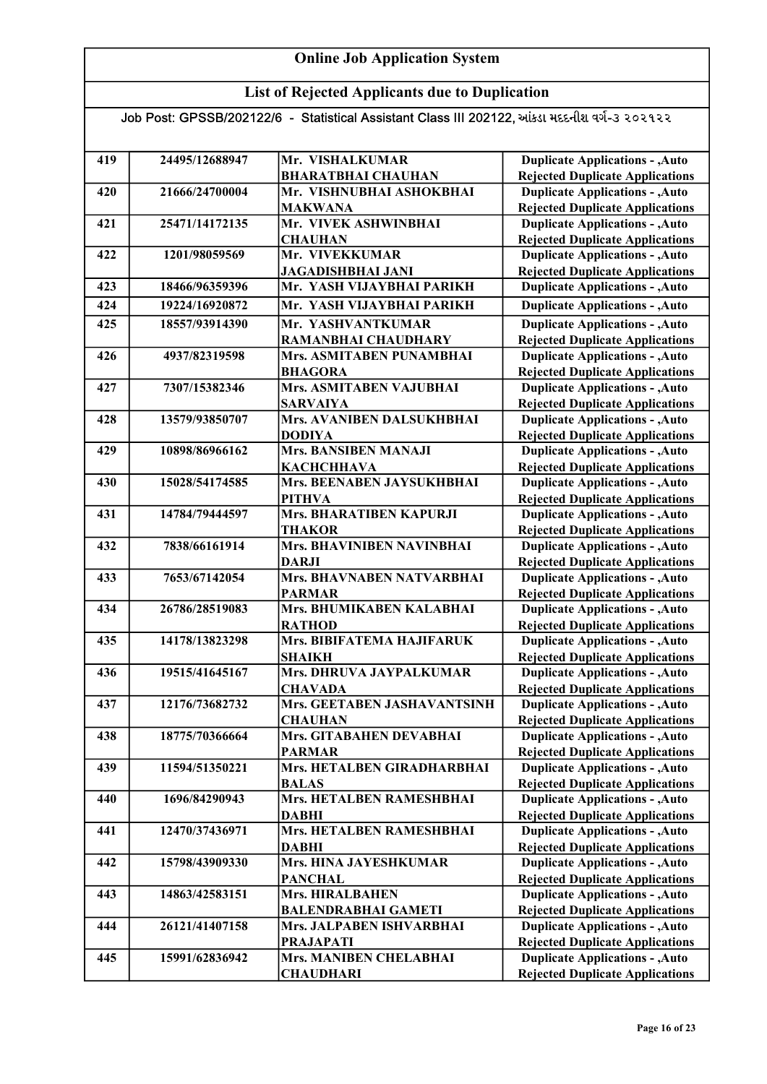## List of Rejected Applicants due to Duplication

| 419 | 24495/12688947 | Mr. VISHALKUMAR                                | <b>Duplicate Applications - , Auto</b>                                           |
|-----|----------------|------------------------------------------------|----------------------------------------------------------------------------------|
|     |                | <b>BHARATBHAI CHAUHAN</b>                      | <b>Rejected Duplicate Applications</b>                                           |
| 420 | 21666/24700004 | Mr. VISHNUBHAI ASHOKBHAI<br><b>MAKWANA</b>     | <b>Duplicate Applications - , Auto</b><br><b>Rejected Duplicate Applications</b> |
|     | 25471/14172135 | Mr. VIVEK ASHWINBHAI                           |                                                                                  |
| 421 |                | <b>CHAUHAN</b>                                 | <b>Duplicate Applications - , Auto</b><br><b>Rejected Duplicate Applications</b> |
| 422 | 1201/98059569  | Mr. VIVEKKUMAR                                 | <b>Duplicate Applications - , Auto</b>                                           |
|     |                |                                                |                                                                                  |
| 423 | 18466/96359396 | JAGADISHBHAI JANI<br>Mr. YASH VIJAYBHAI PARIKH | <b>Rejected Duplicate Applications</b><br><b>Duplicate Applications - , Auto</b> |
| 424 | 19224/16920872 | Mr. YASH VIJAYBHAI PARIKH                      |                                                                                  |
|     |                |                                                | <b>Duplicate Applications - , Auto</b>                                           |
| 425 | 18557/93914390 | Mr. YASHVANTKUMAR                              | <b>Duplicate Applications - , Auto</b>                                           |
|     |                | <b>RAMANBHAI CHAUDHARY</b>                     | <b>Rejected Duplicate Applications</b>                                           |
| 426 | 4937/82319598  | Mrs. ASMITABEN PUNAMBHAI                       | <b>Duplicate Applications - , Auto</b>                                           |
|     |                | <b>BHAGORA</b>                                 | <b>Rejected Duplicate Applications</b>                                           |
| 427 | 7307/15382346  | Mrs. ASMITABEN VAJUBHAI                        | <b>Duplicate Applications - , Auto</b>                                           |
|     |                | <b>SARVAIYA</b>                                | <b>Rejected Duplicate Applications</b>                                           |
| 428 | 13579/93850707 | Mrs. AVANIBEN DALSUKHBHAI                      | <b>Duplicate Applications - , Auto</b>                                           |
|     |                | <b>DODIYA</b>                                  | <b>Rejected Duplicate Applications</b>                                           |
| 429 | 10898/86966162 | Mrs. BANSIBEN MANAJI                           | <b>Duplicate Applications - , Auto</b>                                           |
|     |                | <b>КАСНСННАVA</b>                              | <b>Rejected Duplicate Applications</b>                                           |
| 430 | 15028/54174585 | Mrs. BEENABEN JAYSUKHBHAI                      | <b>Duplicate Applications - , Auto</b>                                           |
|     |                | <b>PITHVA</b>                                  | <b>Rejected Duplicate Applications</b>                                           |
| 431 | 14784/79444597 | Mrs. BHARATIBEN KAPURJI                        | <b>Duplicate Applications - , Auto</b>                                           |
|     |                | <b>THAKOR</b>                                  | <b>Rejected Duplicate Applications</b>                                           |
| 432 | 7838/66161914  | Mrs. BHAVINIBEN NAVINBHAI<br><b>DARJI</b>      | <b>Duplicate Applications - , Auto</b><br><b>Rejected Duplicate Applications</b> |
| 433 | 7653/67142054  | Mrs. BHAVNABEN NATVARBHAI                      | <b>Duplicate Applications - , Auto</b>                                           |
|     |                | <b>PARMAR</b>                                  | <b>Rejected Duplicate Applications</b>                                           |
| 434 | 26786/28519083 | Mrs. BHUMIKABEN KALABHAI                       | <b>Duplicate Applications - , Auto</b>                                           |
|     |                | <b>RATHOD</b>                                  | <b>Rejected Duplicate Applications</b>                                           |
| 435 | 14178/13823298 | Mrs. BIBIFATEMA HAJIFARUK                      | <b>Duplicate Applications - , Auto</b>                                           |
|     |                | <b>SHAIKH</b>                                  | <b>Rejected Duplicate Applications</b>                                           |
| 436 | 19515/41645167 | Mrs. DHRUVA JAYPALKUMAR                        | <b>Duplicate Applications - , Auto</b>                                           |
|     |                | <b>CHAVADA</b>                                 | <b>Rejected Duplicate Applications</b>                                           |
| 437 | 12176/73682732 | Mrs. GEETABEN JASHAVANTSINH                    | <b>Duplicate Applications - , Auto</b>                                           |
|     |                | <b>CHAUHAN</b>                                 | <b>Rejected Duplicate Applications</b>                                           |
| 438 | 18775/70366664 | Mrs. GITABAHEN DEVABHAI                        | <b>Duplicate Applications - , Auto</b>                                           |
|     |                | <b>PARMAR</b>                                  | <b>Rejected Duplicate Applications</b>                                           |
| 439 | 11594/51350221 | Mrs. HETALBEN GIRADHARBHAI                     | <b>Duplicate Applications - , Auto</b>                                           |
|     |                | <b>BALAS</b>                                   | <b>Rejected Duplicate Applications</b>                                           |
| 440 | 1696/84290943  | Mrs. HETALBEN RAMESHBHAI                       | <b>Duplicate Applications - , Auto</b>                                           |
|     |                | <b>DABHI</b>                                   | <b>Rejected Duplicate Applications</b>                                           |
| 441 | 12470/37436971 | Mrs. HETALBEN RAMESHBHAI                       | <b>Duplicate Applications - , Auto</b>                                           |
|     |                | <b>DABHI</b>                                   | <b>Rejected Duplicate Applications</b>                                           |
| 442 | 15798/43909330 | Mrs. HINA JAYESHKUMAR                          | <b>Duplicate Applications - , Auto</b>                                           |
|     |                | <b>PANCHAL</b>                                 | <b>Rejected Duplicate Applications</b>                                           |
| 443 | 14863/42583151 | <b>Mrs. HIRALBAHEN</b>                         | <b>Duplicate Applications - , Auto</b>                                           |
|     |                | <b>BALENDRABHAI GAMETI</b>                     | <b>Rejected Duplicate Applications</b>                                           |
| 444 | 26121/41407158 | Mrs. JALPABEN ISHVARBHAI                       | <b>Duplicate Applications - , Auto</b>                                           |
|     |                | <b>PRAJAPATI</b>                               | <b>Rejected Duplicate Applications</b>                                           |
| 445 | 15991/62836942 | Mrs. MANIBEN CHELABHAI                         | <b>Duplicate Applications - , Auto</b>                                           |
|     |                | <b>CHAUDHARI</b>                               | <b>Rejected Duplicate Applications</b>                                           |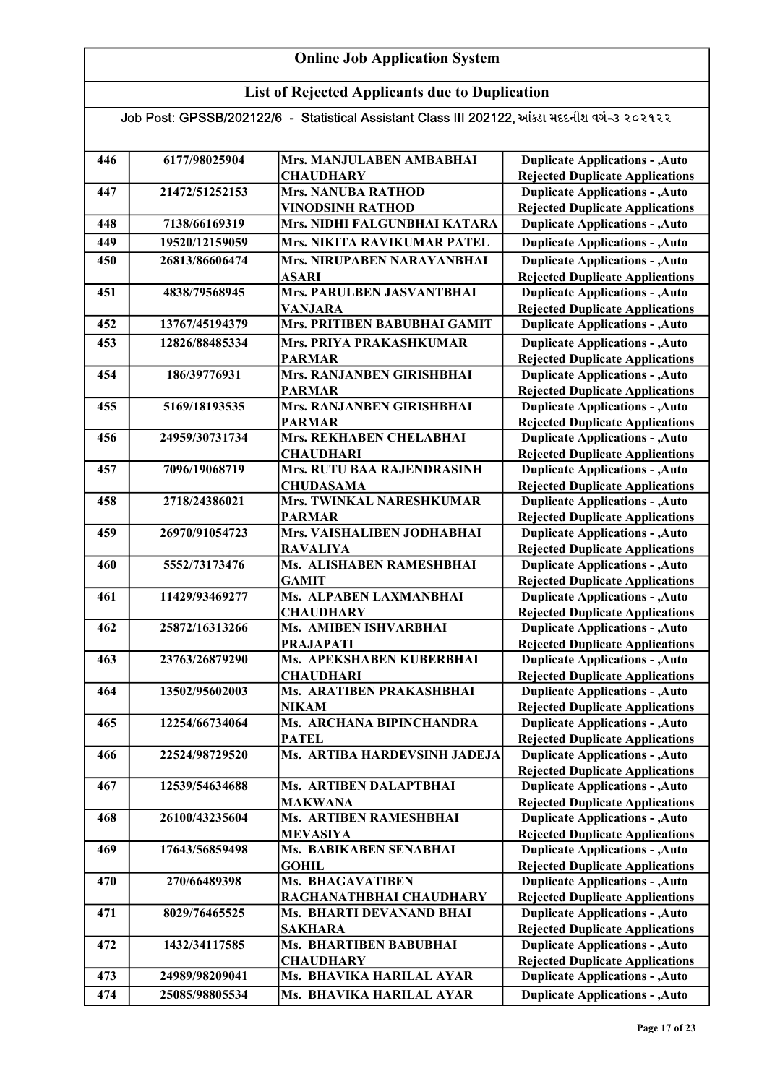## List of Rejected Applicants due to Duplication

| 446 | 6177/98025904  | Mrs. MANJULABEN AMBABHAI                    | <b>Duplicate Applications - , Auto</b>                                           |
|-----|----------------|---------------------------------------------|----------------------------------------------------------------------------------|
|     |                | <b>CHAUDHARY</b>                            | <b>Rejected Duplicate Applications</b>                                           |
| 447 | 21472/51252153 | <b>Mrs. NANUBA RATHOD</b>                   | <b>Duplicate Applications - , Auto</b>                                           |
|     |                | <b>VINODSINH RATHOD</b>                     | <b>Rejected Duplicate Applications</b>                                           |
| 448 | 7138/66169319  | Mrs. NIDHI FALGUNBHAI KATARA                | <b>Duplicate Applications - , Auto</b>                                           |
| 449 | 19520/12159059 | Mrs. NIKITA RAVIKUMAR PATEL                 | <b>Duplicate Applications - , Auto</b>                                           |
| 450 | 26813/86606474 | Mrs. NIRUPABEN NARAYANBHAI                  | <b>Duplicate Applications - , Auto</b>                                           |
|     |                | <b>ASARI</b>                                | <b>Rejected Duplicate Applications</b>                                           |
| 451 | 4838/79568945  | Mrs. PARULBEN JASVANTBHAI                   | <b>Duplicate Applications - , Auto</b>                                           |
|     |                | <b>VANJARA</b>                              | <b>Rejected Duplicate Applications</b>                                           |
| 452 | 13767/45194379 | Mrs. PRITIBEN BABUBHAI GAMIT                | <b>Duplicate Applications - , Auto</b>                                           |
| 453 | 12826/88485334 | Mrs. PRIYA PRAKASHKUMAR                     | <b>Duplicate Applications - , Auto</b>                                           |
|     |                | <b>PARMAR</b>                               | <b>Rejected Duplicate Applications</b>                                           |
| 454 | 186/39776931   | Mrs. RANJANBEN GIRISHBHAI                   | <b>Duplicate Applications - , Auto</b>                                           |
|     |                | <b>PARMAR</b>                               | <b>Rejected Duplicate Applications</b>                                           |
| 455 | 5169/18193535  | Mrs. RANJANBEN GIRISHBHAI                   | <b>Duplicate Applications - , Auto</b>                                           |
|     |                | <b>PARMAR</b>                               | <b>Rejected Duplicate Applications</b>                                           |
| 456 | 24959/30731734 | Mrs. REKHABEN CHELABHAI                     | <b>Duplicate Applications - , Auto</b>                                           |
|     |                | <b>CHAUDHARI</b>                            | <b>Rejected Duplicate Applications</b>                                           |
| 457 | 7096/19068719  | Mrs. RUTU BAA RAJENDRASINH                  | <b>Duplicate Applications - , Auto</b>                                           |
|     |                | <b>CHUDASAMA</b>                            | <b>Rejected Duplicate Applications</b>                                           |
| 458 | 2718/24386021  | Mrs. TWINKAL NARESHKUMAR                    | <b>Duplicate Applications - , Auto</b>                                           |
|     |                | <b>PARMAR</b>                               | <b>Rejected Duplicate Applications</b>                                           |
| 459 | 26970/91054723 | Mrs. VAISHALIBEN JODHABHAI                  | <b>Duplicate Applications - , Auto</b>                                           |
| 460 | 5552/73173476  | <b>RAVALIYA</b><br>Ms. ALISHABEN RAMESHBHAI | <b>Rejected Duplicate Applications</b>                                           |
|     |                | <b>GAMIT</b>                                | <b>Duplicate Applications - , Auto</b><br><b>Rejected Duplicate Applications</b> |
| 461 | 11429/93469277 | Ms. ALPABEN LAXMANBHAI                      | <b>Duplicate Applications - , Auto</b>                                           |
|     |                | <b>CHAUDHARY</b>                            | <b>Rejected Duplicate Applications</b>                                           |
| 462 | 25872/16313266 | Ms. AMIBEN ISHVARBHAI                       | <b>Duplicate Applications - , Auto</b>                                           |
|     |                | <b>PRAJAPATI</b>                            | <b>Rejected Duplicate Applications</b>                                           |
| 463 | 23763/26879290 | Ms. APEKSHABEN KUBERBHAI                    | <b>Duplicate Applications - , Auto</b>                                           |
|     |                | <b>CHAUDHARI</b>                            | <b>Rejected Duplicate Applications</b>                                           |
| 464 | 13502/95602003 | Ms. ARATIBEN PRAKASHBHAI                    | <b>Duplicate Applications - , Auto</b>                                           |
|     |                | <b>NIKAM</b>                                | <b>Rejected Duplicate Applications</b>                                           |
| 465 | 12254/66734064 | Ms. ARCHANA BIPINCHANDRA                    | <b>Duplicate Applications - , Auto</b>                                           |
|     |                | <b>PATEL</b>                                | <b>Rejected Duplicate Applications</b>                                           |
| 466 | 22524/98729520 | Ms. ARTIBA HARDEVSINH JADEJA                | <b>Duplicate Applications - , Auto</b>                                           |
|     |                |                                             | <b>Rejected Duplicate Applications</b>                                           |
| 467 | 12539/54634688 | Ms. ARTIBEN DALAPTBHAI                      | <b>Duplicate Applications - , Auto</b>                                           |
|     |                | MAKWANA                                     | <b>Rejected Duplicate Applications</b>                                           |
| 468 | 26100/43235604 | Ms. ARTIBEN RAMESHBHAI                      | <b>Duplicate Applications - , Auto</b>                                           |
|     |                | <b>MEVASIYA</b>                             | <b>Rejected Duplicate Applications</b>                                           |
| 469 | 17643/56859498 | Ms. BABIKABEN SENABHAI                      | <b>Duplicate Applications - , Auto</b>                                           |
| 470 | 270/66489398   | <b>GOHIL</b><br><b>Ms. BHAGAVATIBEN</b>     | <b>Rejected Duplicate Applications</b><br><b>Duplicate Applications - , Auto</b> |
|     |                | RAGHANATHBHAI CHAUDHARY                     | <b>Rejected Duplicate Applications</b>                                           |
| 471 | 8029/76465525  | Ms. BHARTI DEVANAND BHAI                    | <b>Duplicate Applications - , Auto</b>                                           |
|     |                | <b>SAKHARA</b>                              | <b>Rejected Duplicate Applications</b>                                           |
| 472 | 1432/34117585  | <b>Ms. BHARTIBEN BABUBHAI</b>               | <b>Duplicate Applications - , Auto</b>                                           |
|     |                | <b>CHAUDHARY</b>                            | <b>Rejected Duplicate Applications</b>                                           |
| 473 | 24989/98209041 | Ms. BHAVIKA HARILAL AYAR                    | <b>Duplicate Applications - , Auto</b>                                           |
| 474 | 25085/98805534 | Ms. BHAVIKA HARILAL AYAR                    | <b>Duplicate Applications - , Auto</b>                                           |
|     |                |                                             |                                                                                  |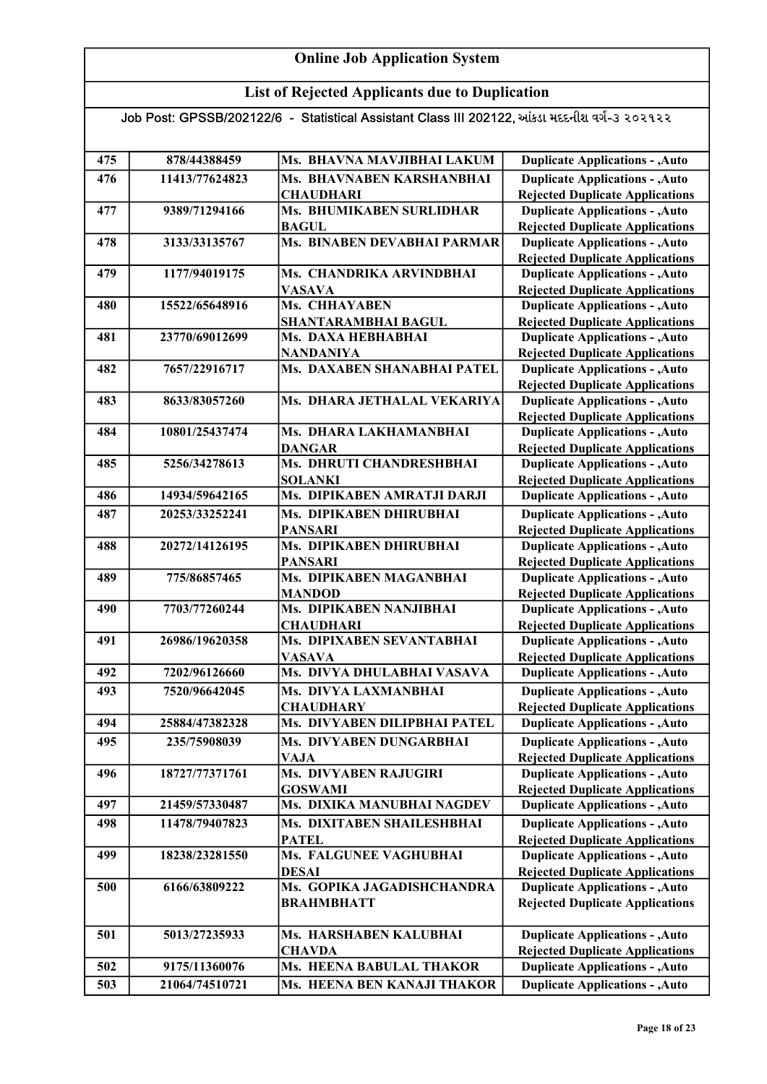## List of Rejected Applicants due to Duplication

| 475 | 878/44388459   | Ms. BHAVNA MAVJIBHAI LAKUM                      | <b>Duplicate Applications - , Auto</b>                                           |
|-----|----------------|-------------------------------------------------|----------------------------------------------------------------------------------|
| 476 | 11413/77624823 | Ms. BHAVNABEN KARSHANBHAI                       | <b>Duplicate Applications - , Auto</b>                                           |
|     |                | <b>CHAUDHARI</b>                                | <b>Rejected Duplicate Applications</b>                                           |
| 477 | 9389/71294166  | Ms. BHUMIKABEN SURLIDHAR                        | <b>Duplicate Applications - , Auto</b>                                           |
|     |                | <b>BAGUL</b>                                    | <b>Rejected Duplicate Applications</b>                                           |
| 478 | 3133/33135767  | Ms. BINABEN DEVABHAI PARMAR                     | <b>Duplicate Applications - , Auto</b>                                           |
|     |                |                                                 | <b>Rejected Duplicate Applications</b>                                           |
| 479 | 1177/94019175  | Ms. CHANDRIKA ARVINDBHAI                        | <b>Duplicate Applications - , Auto</b>                                           |
|     |                | <b>VASAVA</b>                                   | <b>Rejected Duplicate Applications</b>                                           |
| 480 | 15522/65648916 | Ms. CHHAYABEN                                   | <b>Duplicate Applications - , Auto</b>                                           |
|     |                | <b>SHANTARAMBHAI BAGUL</b>                      | <b>Rejected Duplicate Applications</b>                                           |
| 481 | 23770/69012699 | Ms. DAXA HEBHABHAI                              | <b>Duplicate Applications - , Auto</b>                                           |
|     |                | <b>NANDANIYA</b><br>Ms. DAXABEN SHANABHAI PATEL | <b>Rejected Duplicate Applications</b>                                           |
| 482 | 7657/22916717  |                                                 | <b>Duplicate Applications - , Auto</b>                                           |
| 483 | 8633/83057260  | Ms. DHARA JETHALAL VEKARIYA                     | <b>Rejected Duplicate Applications</b><br><b>Duplicate Applications - , Auto</b> |
|     |                |                                                 | <b>Rejected Duplicate Applications</b>                                           |
| 484 | 10801/25437474 | Ms. DHARA LAKHAMANBHAI                          | <b>Duplicate Applications - , Auto</b>                                           |
|     |                | <b>DANGAR</b>                                   | <b>Rejected Duplicate Applications</b>                                           |
| 485 | 5256/34278613  | Ms. DHRUTI CHANDRESHBHAI                        | <b>Duplicate Applications - , Auto</b>                                           |
|     |                | <b>SOLANKI</b>                                  | <b>Rejected Duplicate Applications</b>                                           |
| 486 | 14934/59642165 | Ms. DIPIKABEN AMRATJI DARJI                     | <b>Duplicate Applications - , Auto</b>                                           |
| 487 | 20253/33252241 | Ms. DIPIKABEN DHIRUBHAI                         | <b>Duplicate Applications - , Auto</b>                                           |
|     |                | <b>PANSARI</b>                                  | <b>Rejected Duplicate Applications</b>                                           |
| 488 | 20272/14126195 | Ms. DIPIKABEN DHIRUBHAI                         | <b>Duplicate Applications - , Auto</b>                                           |
|     |                | <b>PANSARI</b>                                  | <b>Rejected Duplicate Applications</b>                                           |
| 489 | 775/86857465   | Ms. DIPIKABEN MAGANBHAI                         | <b>Duplicate Applications - , Auto</b>                                           |
|     |                | <b>MANDOD</b>                                   | <b>Rejected Duplicate Applications</b>                                           |
| 490 | 7703/77260244  | Ms. DIPIKABEN NANJIBHAI                         | <b>Duplicate Applications - , Auto</b>                                           |
|     |                | <b>CHAUDHARI</b>                                | <b>Rejected Duplicate Applications</b>                                           |
| 491 | 26986/19620358 | Ms. DIPIXABEN SEVANTABHAI                       | <b>Duplicate Applications - , Auto</b>                                           |
|     |                | <b>VASAVA</b>                                   | <b>Rejected Duplicate Applications</b>                                           |
| 492 | 7202/96126660  | Ms. DIVYA DHULABHAI VASAVA                      | <b>Duplicate Applications - , Auto</b>                                           |
| 493 | 7520/96642045  | Ms. DIVYA LAXMANBHAI                            | <b>Duplicate Applications - , Auto</b>                                           |
|     |                | <b>CHAUDHARY</b>                                | <b>Rejected Duplicate Applications</b>                                           |
| 494 | 25884/47382328 | Ms. DIVYABEN DILIPBHAI PATEL                    | <b>Duplicate Applications - , Auto</b>                                           |
| 495 | 235/75908039   | Ms. DIVYABEN DUNGARBHAI                         | <b>Duplicate Applications - , Auto</b>                                           |
|     |                | VAJA                                            | <b>Rejected Duplicate Applications</b>                                           |
| 496 | 18727/77371761 | <b>Ms. DIVYABEN RAJUGIRI</b>                    | <b>Duplicate Applications - , Auto</b>                                           |
|     |                | <b>GOSWAMI</b>                                  | <b>Rejected Duplicate Applications</b>                                           |
| 497 | 21459/57330487 | Ms. DIXIKA MANUBHAI NAGDEV                      | <b>Duplicate Applications - , Auto</b>                                           |
| 498 | 11478/79407823 | Ms. DIXITABEN SHAILESHBHAI                      | <b>Duplicate Applications - , Auto</b>                                           |
|     |                | <b>PATEL</b>                                    | <b>Rejected Duplicate Applications</b>                                           |
| 499 | 18238/23281550 | Ms. FALGUNEE VAGHUBHAI                          | <b>Duplicate Applications - , Auto</b>                                           |
|     |                | <b>DESAI</b>                                    | <b>Rejected Duplicate Applications</b>                                           |
| 500 | 6166/63809222  | Ms. GOPIKA JAGADISHCHANDRA                      | <b>Duplicate Applications - , Auto</b>                                           |
|     |                | <b>BRAHMBHATT</b>                               | <b>Rejected Duplicate Applications</b>                                           |
|     |                |                                                 |                                                                                  |
| 501 | 5013/27235933  | Ms. HARSHABEN KALUBHAI                          | <b>Duplicate Applications - , Auto</b>                                           |
|     |                | <b>CHAVDA</b>                                   | <b>Rejected Duplicate Applications</b>                                           |
| 502 | 9175/11360076  | Ms. HEENA BABULAL THAKOR                        | <b>Duplicate Applications - , Auto</b>                                           |
| 503 | 21064/74510721 | Ms. HEENA BEN KANAJI THAKOR                     | <b>Duplicate Applications - , Auto</b>                                           |
|     |                |                                                 |                                                                                  |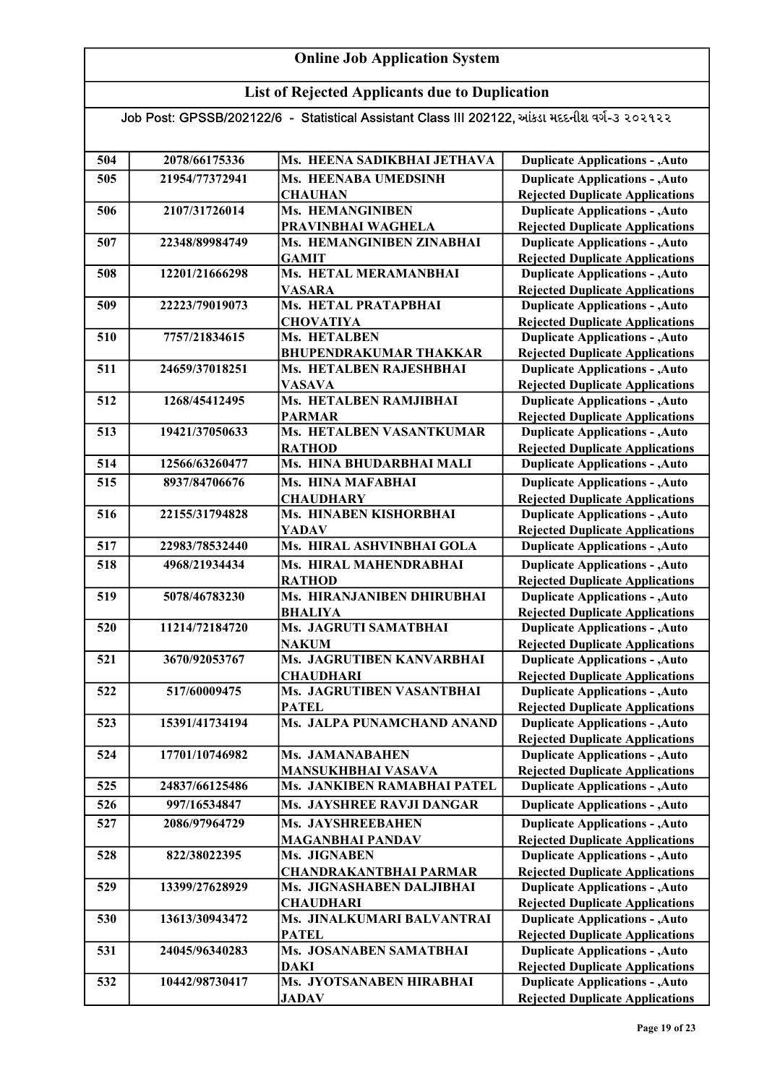## List of Rejected Applicants due to Duplication

| 504 | 2078/66175336  | Ms. HEENA SADIKBHAI JETHAVA   | <b>Duplicate Applications - , Auto</b> |
|-----|----------------|-------------------------------|----------------------------------------|
| 505 | 21954/77372941 | Ms. HEENABA UMEDSINH          | <b>Duplicate Applications - , Auto</b> |
|     |                | <b>CHAUHAN</b>                | <b>Rejected Duplicate Applications</b> |
| 506 | 2107/31726014  | Ms. HEMANGINIBEN              | <b>Duplicate Applications - , Auto</b> |
|     |                | PRAVINBHAI WAGHELA            | <b>Rejected Duplicate Applications</b> |
| 507 | 22348/89984749 | Ms. HEMANGINIBEN ZINABHAI     | <b>Duplicate Applications - , Auto</b> |
|     |                | <b>GAMIT</b>                  | <b>Rejected Duplicate Applications</b> |
| 508 | 12201/21666298 | Ms. HETAL MERAMANBHAI         | <b>Duplicate Applications - , Auto</b> |
|     |                | <b>VASARA</b>                 | <b>Rejected Duplicate Applications</b> |
| 509 | 22223/79019073 | Ms. HETAL PRATAPBHAI          | <b>Duplicate Applications - , Auto</b> |
|     |                | <b>CHOVATIYA</b>              | <b>Rejected Duplicate Applications</b> |
| 510 | 7757/21834615  | Ms. HETALBEN                  | <b>Duplicate Applications - , Auto</b> |
|     |                | <b>BHUPENDRAKUMAR THAKKAR</b> | <b>Rejected Duplicate Applications</b> |
| 511 | 24659/37018251 | Ms. HETALBEN RAJESHBHAI       | <b>Duplicate Applications - , Auto</b> |
|     |                | <b>VASAVA</b>                 | <b>Rejected Duplicate Applications</b> |
| 512 | 1268/45412495  | Ms. HETALBEN RAMJIBHAI        | <b>Duplicate Applications - , Auto</b> |
|     |                | <b>PARMAR</b>                 | <b>Rejected Duplicate Applications</b> |
| 513 | 19421/37050633 | Ms. HETALBEN VASANTKUMAR      | <b>Duplicate Applications - , Auto</b> |
|     |                | <b>RATHOD</b>                 | <b>Rejected Duplicate Applications</b> |
| 514 | 12566/63260477 | Ms. HINA BHUDARBHAI MALI      | <b>Duplicate Applications - , Auto</b> |
| 515 | 8937/84706676  | Ms. HINA MAFABHAI             | <b>Duplicate Applications - , Auto</b> |
|     |                | <b>CHAUDHARY</b>              | <b>Rejected Duplicate Applications</b> |
| 516 | 22155/31794828 | Ms. HINABEN KISHORBHAI        | <b>Duplicate Applications - , Auto</b> |
|     |                | <b>YADAV</b>                  | <b>Rejected Duplicate Applications</b> |
| 517 | 22983/78532440 | Ms. HIRAL ASHVINBHAI GOLA     | <b>Duplicate Applications - , Auto</b> |
| 518 | 4968/21934434  | Ms. HIRAL MAHENDRABHAI        | <b>Duplicate Applications - , Auto</b> |
|     |                | <b>RATHOD</b>                 | <b>Rejected Duplicate Applications</b> |
| 519 | 5078/46783230  | Ms. HIRANJANIBEN DHIRUBHAI    | <b>Duplicate Applications - , Auto</b> |
|     |                | <b>BHALIYA</b>                | <b>Rejected Duplicate Applications</b> |
| 520 | 11214/72184720 | Ms. JAGRUTI SAMATBHAI         | <b>Duplicate Applications - , Auto</b> |
|     |                | <b>NAKUM</b>                  | <b>Rejected Duplicate Applications</b> |
| 521 | 3670/92053767  | Ms. JAGRUTIBEN KANVARBHAI     | <b>Duplicate Applications - , Auto</b> |
|     |                | <b>CHAUDHARI</b>              | <b>Rejected Duplicate Applications</b> |
| 522 | 517/60009475   | Ms. JAGRUTIBEN VASANTBHAI     | <b>Duplicate Applications - , Auto</b> |
|     |                | <b>PATEL</b>                  | <b>Rejected Duplicate Applications</b> |
| 523 | 15391/41734194 | Ms. JALPA PUNAMCHAND ANAND    | <b>Duplicate Applications - , Auto</b> |
|     |                |                               | <b>Rejected Duplicate Applications</b> |
| 524 | 17701/10746982 | Ms. JAMANABAHEN               | <b>Duplicate Applications - , Auto</b> |
|     |                | <b>MANSUKHBHAI VASAVA</b>     | <b>Rejected Duplicate Applications</b> |
| 525 | 24837/66125486 | Ms. JANKIBEN RAMABHAI PATEL   | <b>Duplicate Applications - , Auto</b> |
| 526 | 997/16534847   | Ms. JAYSHREE RAVJI DANGAR     | <b>Duplicate Applications - , Auto</b> |
| 527 | 2086/97964729  | Ms. JAYSHREEBAHEN             | <b>Duplicate Applications - , Auto</b> |
|     |                | <b>MAGANBHAI PANDAV</b>       | <b>Rejected Duplicate Applications</b> |
| 528 | 822/38022395   | Ms. JIGNABEN                  | <b>Duplicate Applications - , Auto</b> |
|     |                | <b>CHANDRAKANTBHAI PARMAR</b> | <b>Rejected Duplicate Applications</b> |
| 529 | 13399/27628929 | Ms. JIGNASHABEN DALJIBHAI     | <b>Duplicate Applications - , Auto</b> |
|     |                | <b>CHAUDHARI</b>              | <b>Rejected Duplicate Applications</b> |
| 530 | 13613/30943472 | Ms. JINALKUMARI BALVANTRAI    | <b>Duplicate Applications - , Auto</b> |
|     |                | <b>PATEL</b>                  | <b>Rejected Duplicate Applications</b> |
| 531 | 24045/96340283 | Ms. JOSANABEN SAMATBHAI       | <b>Duplicate Applications - , Auto</b> |
|     |                | DAKI                          | <b>Rejected Duplicate Applications</b> |
| 532 | 10442/98730417 | Ms. JYOTSANABEN HIRABHAI      | <b>Duplicate Applications - , Auto</b> |
|     |                | <b>JADAV</b>                  | <b>Rejected Duplicate Applications</b> |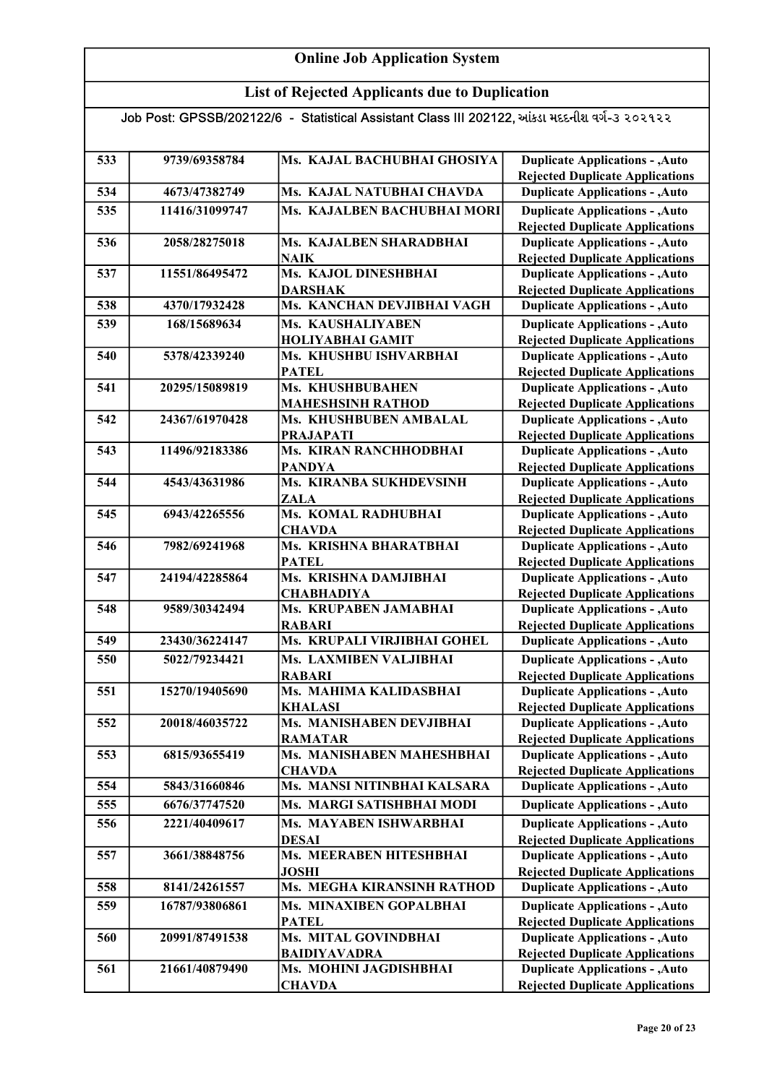## List of Rejected Applicants due to Duplication

| 533 | 9739/69358784  | Ms. KAJAL BACHUBHAI GHOSIYA                | <b>Duplicate Applications - , Auto</b>                                           |
|-----|----------------|--------------------------------------------|----------------------------------------------------------------------------------|
| 534 | 4673/47382749  | Ms. KAJAL NATUBHAI CHAVDA                  | <b>Rejected Duplicate Applications</b><br><b>Duplicate Applications - , Auto</b> |
|     |                |                                            |                                                                                  |
| 535 | 11416/31099747 | Ms. KAJALBEN BACHUBHAI MORI                | <b>Duplicate Applications - , Auto</b>                                           |
| 536 | 2058/28275018  | Ms. KAJALBEN SHARADBHAI                    | <b>Rejected Duplicate Applications</b><br><b>Duplicate Applications - , Auto</b> |
|     |                | <b>NAIK</b>                                | <b>Rejected Duplicate Applications</b>                                           |
| 537 | 11551/86495472 | Ms. KAJOL DINESHBHAI                       | <b>Duplicate Applications - , Auto</b>                                           |
|     |                | <b>DARSHAK</b>                             | <b>Rejected Duplicate Applications</b>                                           |
| 538 | 4370/17932428  | Ms. KANCHAN DEVJIBHAI VAGH                 | <b>Duplicate Applications - , Auto</b>                                           |
| 539 | 168/15689634   | Ms. KAUSHALIYABEN                          | <b>Duplicate Applications - , Auto</b>                                           |
|     |                | <b>HOLIYABHAI GAMIT</b>                    | <b>Rejected Duplicate Applications</b>                                           |
| 540 | 5378/42339240  | Ms. KHUSHBU ISHVARBHAI                     | <b>Duplicate Applications - , Auto</b>                                           |
|     |                | <b>PATEL</b>                               | <b>Rejected Duplicate Applications</b>                                           |
| 541 | 20295/15089819 | Ms. KHUSHBUBAHEN                           | <b>Duplicate Applications - , Auto</b>                                           |
|     |                | <b>MAHESHSINH RATHOD</b>                   | <b>Rejected Duplicate Applications</b>                                           |
| 542 | 24367/61970428 | Ms. KHUSHBUBEN AMBALAL                     | <b>Duplicate Applications - , Auto</b>                                           |
|     |                | <b>PRAJAPATI</b>                           | <b>Rejected Duplicate Applications</b>                                           |
| 543 | 11496/92183386 | Ms. KIRAN RANCHHODBHAI                     | <b>Duplicate Applications - , Auto</b>                                           |
|     |                | <b>PANDYA</b>                              | <b>Rejected Duplicate Applications</b>                                           |
| 544 | 4543/43631986  | Ms. KIRANBA SUKHDEVSINH                    | <b>Duplicate Applications - , Auto</b>                                           |
|     |                | <b>ZALA</b>                                | <b>Rejected Duplicate Applications</b>                                           |
| 545 | 6943/42265556  | Ms. KOMAL RADHUBHAI                        | <b>Duplicate Applications - , Auto</b>                                           |
|     |                | <b>CHAVDA</b>                              | <b>Rejected Duplicate Applications</b>                                           |
| 546 | 7982/69241968  | Ms. KRISHNA BHARATBHAI                     | <b>Duplicate Applications - , Auto</b>                                           |
|     |                | <b>PATEL</b>                               | <b>Rejected Duplicate Applications</b>                                           |
| 547 | 24194/42285864 | Ms. KRISHNA DAMJIBHAI                      | <b>Duplicate Applications - , Auto</b>                                           |
| 548 | 9589/30342494  | <b>CHABHADIYA</b><br>Ms. KRUPABEN JAMABHAI | <b>Rejected Duplicate Applications</b><br><b>Duplicate Applications - , Auto</b> |
|     |                | <b>RABARI</b>                              | <b>Rejected Duplicate Applications</b>                                           |
| 549 | 23430/36224147 | Ms. KRUPALI VIRJIBHAI GOHEL                | <b>Duplicate Applications - , Auto</b>                                           |
| 550 | 5022/79234421  | Ms. LAXMIBEN VALJIBHAI                     | <b>Duplicate Applications - , Auto</b>                                           |
|     |                | <b>RABARI</b>                              | <b>Rejected Duplicate Applications</b>                                           |
| 551 | 15270/19405690 | Ms. MAHIMA KALIDASBHAI                     | <b>Duplicate Applications - , Auto</b>                                           |
|     |                | <b>KHALASI</b>                             | <b>Rejected Duplicate Applications</b>                                           |
| 552 | 20018/46035722 | Ms. MANISHABEN DEVJIBHAI                   | <b>Duplicate Applications - , Auto</b>                                           |
|     |                | <b>RAMATAR</b>                             | <b>Rejected Duplicate Applications</b>                                           |
| 553 | 6815/93655419  | Ms. MANISHABEN MAHESHBHAI                  | <b>Duplicate Applications - , Auto</b>                                           |
|     |                | <b>CHAVDA</b>                              | <b>Rejected Duplicate Applications</b>                                           |
| 554 | 5843/31660846  | Ms. MANSI NITINBHAI KALSARA                | <b>Duplicate Applications - , Auto</b>                                           |
| 555 | 6676/37747520  | Ms. MARGI SATISHBHAI MODI                  | <b>Duplicate Applications - , Auto</b>                                           |
| 556 | 2221/40409617  | Ms. MAYABEN ISHWARBHAI                     | <b>Duplicate Applications - , Auto</b>                                           |
|     |                | <b>DESAI</b>                               | <b>Rejected Duplicate Applications</b>                                           |
| 557 | 3661/38848756  | Ms. MEERABEN HITESHBHAI                    | <b>Duplicate Applications - , Auto</b>                                           |
|     |                | <b>JOSHI</b>                               | <b>Rejected Duplicate Applications</b>                                           |
| 558 | 8141/24261557  | Ms. MEGHA KIRANSINH RATHOD                 | <b>Duplicate Applications - , Auto</b>                                           |
| 559 | 16787/93806861 | Ms. MINAXIBEN GOPALBHAI                    | <b>Duplicate Applications - , Auto</b>                                           |
|     |                | <b>PATEL</b>                               | <b>Rejected Duplicate Applications</b>                                           |
| 560 | 20991/87491538 | Ms. MITAL GOVINDBHAI                       | <b>Duplicate Applications - , Auto</b>                                           |
|     |                | <b>BAIDIYAVADRA</b>                        | <b>Rejected Duplicate Applications</b>                                           |
| 561 | 21661/40879490 | Ms. MOHINI JAGDISHBHAI                     | <b>Duplicate Applications - , Auto</b>                                           |
|     |                | <b>CHAVDA</b>                              | <b>Rejected Duplicate Applications</b>                                           |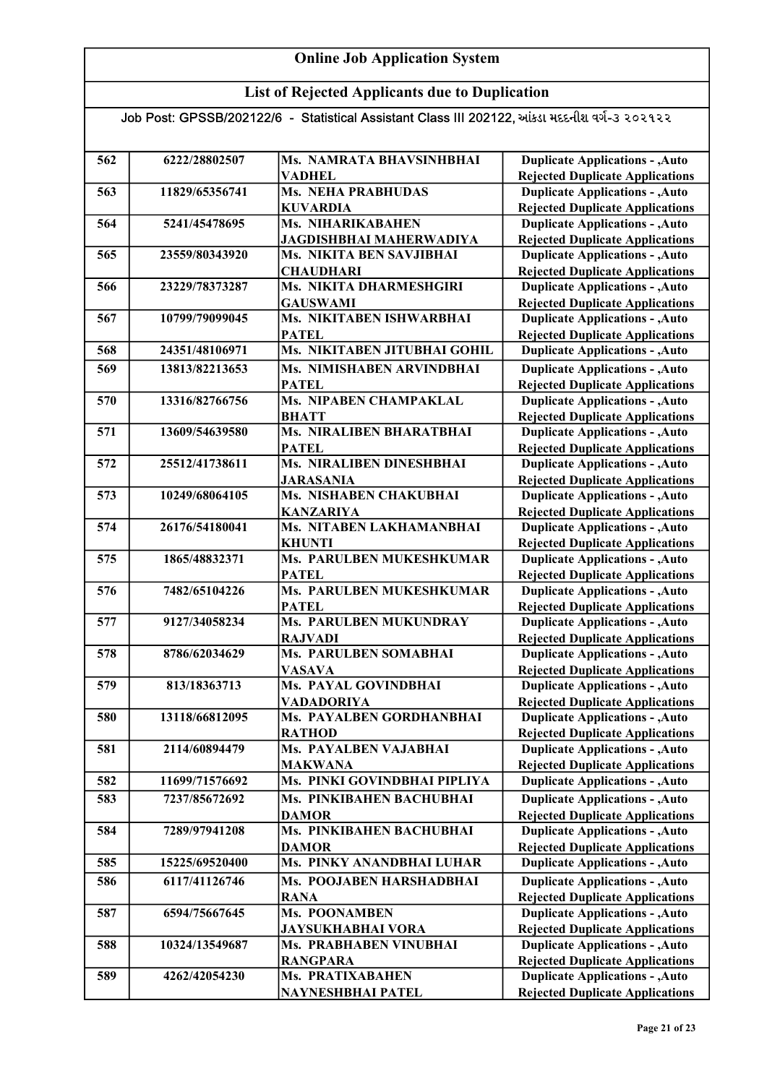## List of Rejected Applicants due to Duplication

| 562 | 6222/28802507  | Ms. NAMRATA BHAVSINHBHAI        | <b>Duplicate Applications - , Auto</b> |
|-----|----------------|---------------------------------|----------------------------------------|
|     |                | <b>VADHEL</b>                   | <b>Rejected Duplicate Applications</b> |
| 563 | 11829/65356741 | <b>Ms. NEHA PRABHUDAS</b>       | <b>Duplicate Applications - , Auto</b> |
|     |                | <b>KUVARDIA</b>                 | <b>Rejected Duplicate Applications</b> |
| 564 | 5241/45478695  | Ms. NIHARIKABAHEN               | <b>Duplicate Applications - , Auto</b> |
|     |                | <b>JAGDISHBHAI MAHERWADIYA</b>  | <b>Rejected Duplicate Applications</b> |
| 565 | 23559/80343920 | Ms. NIKITA BEN SAVJIBHAI        | <b>Duplicate Applications - , Auto</b> |
|     |                | <b>CHAUDHARI</b>                | <b>Rejected Duplicate Applications</b> |
| 566 | 23229/78373287 | Ms. NIKITA DHARMESHGIRI         | <b>Duplicate Applications - , Auto</b> |
|     |                | <b>GAUSWAMI</b>                 | <b>Rejected Duplicate Applications</b> |
| 567 | 10799/79099045 | Ms. NIKITABEN ISHWARBHAI        | <b>Duplicate Applications - , Auto</b> |
|     |                | <b>PATEL</b>                    | <b>Rejected Duplicate Applications</b> |
| 568 | 24351/48106971 | Ms. NIKITABEN JITUBHAI GOHIL    | <b>Duplicate Applications - , Auto</b> |
| 569 | 13813/82213653 | Ms. NIMISHABEN ARVINDBHAI       | <b>Duplicate Applications - , Auto</b> |
|     |                | <b>PATEL</b>                    | <b>Rejected Duplicate Applications</b> |
| 570 | 13316/82766756 | Ms. NIPABEN CHAMPAKLAL          | <b>Duplicate Applications - , Auto</b> |
|     |                | <b>BHATT</b>                    | <b>Rejected Duplicate Applications</b> |
| 571 | 13609/54639580 | <b>Ms. NIRALIBEN BHARATBHAI</b> | <b>Duplicate Applications - , Auto</b> |
|     |                | <b>PATEL</b>                    | <b>Rejected Duplicate Applications</b> |
| 572 | 25512/41738611 | Ms. NIRALIBEN DINESHBHAI        | <b>Duplicate Applications - , Auto</b> |
|     |                | <b>JARASANIA</b>                | <b>Rejected Duplicate Applications</b> |
| 573 | 10249/68064105 | Ms. NISHABEN CHAKUBHAI          | <b>Duplicate Applications - , Auto</b> |
|     |                | <b>KANZARIYA</b>                | <b>Rejected Duplicate Applications</b> |
| 574 | 26176/54180041 | Ms. NITABEN LAKHAMANBHAI        | <b>Duplicate Applications - , Auto</b> |
|     |                | <b>KHUNTI</b>                   | <b>Rejected Duplicate Applications</b> |
| 575 | 1865/48832371  | Ms. PARULBEN MUKESHKUMAR        | <b>Duplicate Applications - , Auto</b> |
|     |                | <b>PATEL</b>                    | <b>Rejected Duplicate Applications</b> |
| 576 | 7482/65104226  | Ms. PARULBEN MUKESHKUMAR        | <b>Duplicate Applications - , Auto</b> |
|     |                | <b>PATEL</b>                    | <b>Rejected Duplicate Applications</b> |
| 577 | 9127/34058234  | Ms. PARULBEN MUKUNDRAY          | <b>Duplicate Applications - , Auto</b> |
|     |                | <b>RAJVADI</b>                  | <b>Rejected Duplicate Applications</b> |
| 578 | 8786/62034629  | <b>Ms. PARULBEN SOMABHAI</b>    | <b>Duplicate Applications - , Auto</b> |
|     |                | <b>VASAVA</b>                   | <b>Rejected Duplicate Applications</b> |
| 579 | 813/18363713   | Ms. PAYAL GOVINDBHAI            | <b>Duplicate Applications - , Auto</b> |
|     |                | <b>VADADORIYA</b>               | <b>Rejected Duplicate Applications</b> |
| 580 | 13118/66812095 | Ms. PAYALBEN GORDHANBHAI        | <b>Duplicate Applications - , Auto</b> |
|     |                | <b>RATHOD</b>                   | <b>Rejected Duplicate Applications</b> |
| 581 | 2114/60894479  | Ms. PAYALBEN VAJABHAI           | <b>Duplicate Applications - , Auto</b> |
|     |                | <b>MAKWANA</b>                  | <b>Rejected Duplicate Applications</b> |
| 582 | 11699/71576692 | Ms. PINKI GOVINDBHAI PIPLIYA    | <b>Duplicate Applications - , Auto</b> |
| 583 | 7237/85672692  | Ms. PINKIBAHEN BACHUBHAI        | <b>Duplicate Applications - , Auto</b> |
|     |                | <b>DAMOR</b>                    | <b>Rejected Duplicate Applications</b> |
| 584 | 7289/97941208  | Ms. PINKIBAHEN BACHUBHAI        | <b>Duplicate Applications - , Auto</b> |
|     |                | <b>DAMOR</b>                    | <b>Rejected Duplicate Applications</b> |
| 585 | 15225/69520400 | Ms. PINKY ANANDBHAI LUHAR       | <b>Duplicate Applications - , Auto</b> |
| 586 | 6117/41126746  | Ms. POOJABEN HARSHADBHAI        | <b>Duplicate Applications - , Auto</b> |
|     |                | <b>RANA</b>                     | <b>Rejected Duplicate Applications</b> |
| 587 | 6594/75667645  | Ms. POONAMBEN                   | <b>Duplicate Applications - , Auto</b> |
|     |                | <b>JAYSUKHABHAI VORA</b>        | <b>Rejected Duplicate Applications</b> |
| 588 | 10324/13549687 | Ms. PRABHABEN VINUBHAI          | <b>Duplicate Applications - , Auto</b> |
|     |                | <b>RANGPARA</b>                 | <b>Rejected Duplicate Applications</b> |
| 589 | 4262/42054230  | Ms. PRATIXABAHEN                | <b>Duplicate Applications - , Auto</b> |
|     |                | NAYNESHBHAI PATEL               | <b>Rejected Duplicate Applications</b> |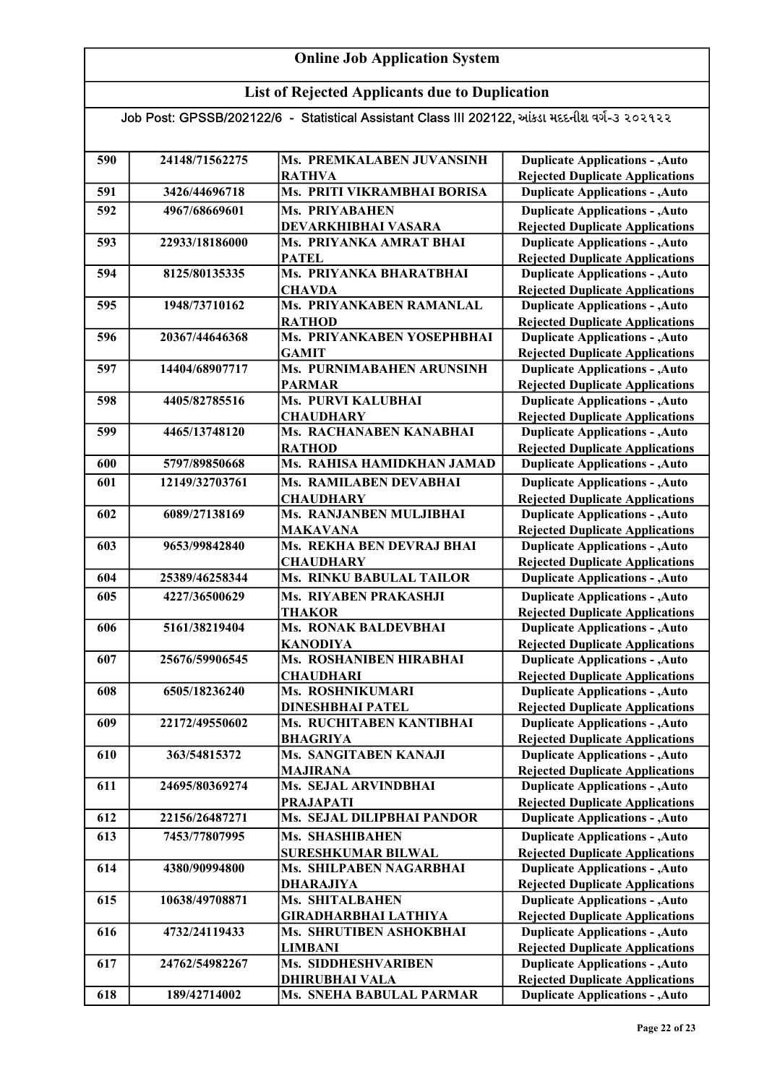## List of Rejected Applicants due to Duplication

| 590 | 24148/71562275 | Ms. PREMKALABEN JUVANSINH                           | <b>Duplicate Applications - , Auto</b>                                           |
|-----|----------------|-----------------------------------------------------|----------------------------------------------------------------------------------|
|     |                | <b>RATHVA</b>                                       | <b>Rejected Duplicate Applications</b>                                           |
| 591 | 3426/44696718  | Ms. PRITI VIKRAMBHAI BORISA                         | <b>Duplicate Applications - , Auto</b>                                           |
| 592 | 4967/68669601  | Ms. PRIYABAHEN                                      | <b>Duplicate Applications - , Auto</b>                                           |
|     |                | DEVARKHIBHAI VASARA                                 | <b>Rejected Duplicate Applications</b>                                           |
| 593 | 22933/18186000 | Ms. PRIYANKA AMRAT BHAI                             | <b>Duplicate Applications - , Auto</b>                                           |
|     |                | <b>PATEL</b>                                        | <b>Rejected Duplicate Applications</b>                                           |
| 594 | 8125/80135335  | Ms. PRIYANKA BHARATBHAI                             | <b>Duplicate Applications - , Auto</b>                                           |
|     |                | <b>CHAVDA</b>                                       | <b>Rejected Duplicate Applications</b>                                           |
| 595 | 1948/73710162  | Ms. PRIYANKABEN RAMANLAL                            | <b>Duplicate Applications - , Auto</b>                                           |
|     |                | <b>RATHOD</b>                                       | <b>Rejected Duplicate Applications</b>                                           |
| 596 | 20367/44646368 | Ms. PRIYANKABEN YOSEPHBHAI                          | <b>Duplicate Applications - , Auto</b>                                           |
|     |                | <b>GAMIT</b>                                        | <b>Rejected Duplicate Applications</b>                                           |
| 597 | 14404/68907717 | Ms. PURNIMABAHEN ARUNSINH                           | <b>Duplicate Applications - , Auto</b>                                           |
|     |                | <b>PARMAR</b>                                       | <b>Rejected Duplicate Applications</b>                                           |
| 598 | 4405/82785516  | Ms. PURVI KALUBHAI                                  | <b>Duplicate Applications - , Auto</b>                                           |
| 599 | 4465/13748120  | <b>CHAUDHARY</b><br>Ms. RACHANABEN KANABHAI         | <b>Rejected Duplicate Applications</b>                                           |
|     |                |                                                     | <b>Duplicate Applications - , Auto</b>                                           |
|     |                | <b>RATHOD</b><br>Ms. RAHISA HAMIDKHAN JAMAD         | <b>Rejected Duplicate Applications</b>                                           |
| 600 | 5797/89850668  |                                                     | <b>Duplicate Applications - , Auto</b>                                           |
| 601 | 12149/32703761 | Ms. RAMILABEN DEVABHAI                              | <b>Duplicate Applications - , Auto</b>                                           |
|     |                | <b>CHAUDHARY</b>                                    | <b>Rejected Duplicate Applications</b>                                           |
| 602 | 6089/27138169  | Ms. RANJANBEN MULJIBHAI                             | <b>Duplicate Applications - , Auto</b>                                           |
|     |                | <b>MAKAVANA</b>                                     | <b>Rejected Duplicate Applications</b>                                           |
| 603 | 9653/99842840  | Ms. REKHA BEN DEVRAJ BHAI                           | <b>Duplicate Applications - , Auto</b>                                           |
|     |                | <b>CHAUDHARY</b><br><b>Ms. RINKU BABULAL TAILOR</b> | <b>Rejected Duplicate Applications</b>                                           |
| 604 | 25389/46258344 |                                                     | <b>Duplicate Applications - , Auto</b>                                           |
| 605 | 4227/36500629  | Ms. RIYABEN PRAKASHJI<br><b>THAKOR</b>              | <b>Duplicate Applications - , Auto</b><br><b>Rejected Duplicate Applications</b> |
| 606 | 5161/38219404  | <b>Ms. RONAK BALDEVBHAI</b>                         | <b>Duplicate Applications - , Auto</b>                                           |
|     |                | <b>KANODIYA</b>                                     | <b>Rejected Duplicate Applications</b>                                           |
| 607 | 25676/59906545 | Ms. ROSHANIBEN HIRABHAI                             | <b>Duplicate Applications - , Auto</b>                                           |
|     |                | <b>CHAUDHARI</b>                                    | <b>Rejected Duplicate Applications</b>                                           |
| 608 | 6505/18236240  | Ms. ROSHNIKUMARI                                    | <b>Duplicate Applications - , Auto</b>                                           |
|     |                | <b>DINESHBHAI PATEL</b>                             | <b>Rejected Duplicate Applications</b>                                           |
| 609 | 22172/49550602 | Ms. RUCHITABEN KANTIBHAI                            | <b>Duplicate Applications - , Auto</b>                                           |
|     |                | <b>BHAGRIYA</b>                                     | <b>Rejected Duplicate Applications</b>                                           |
| 610 | 363/54815372   | Ms. SANGITABEN KANAJI                               | <b>Duplicate Applications - , Auto</b>                                           |
|     |                | <b>MAJIRANA</b>                                     | <b>Rejected Duplicate Applications</b>                                           |
| 611 | 24695/80369274 | Ms. SEJAL ARVINDBHAI                                | <b>Duplicate Applications - , Auto</b>                                           |
|     |                | <b>PRAJAPATI</b>                                    | <b>Rejected Duplicate Applications</b>                                           |
| 612 | 22156/26487271 | Ms. SEJAL DILIPBHAI PANDOR                          | <b>Duplicate Applications - , Auto</b>                                           |
| 613 | 7453/77807995  | Ms. SHASHIBAHEN                                     | <b>Duplicate Applications - , Auto</b>                                           |
|     |                | <b>SURESHKUMAR BILWAL</b>                           | <b>Rejected Duplicate Applications</b>                                           |
| 614 | 4380/90994800  | Ms. SHILPABEN NAGARBHAI                             | <b>Duplicate Applications - , Auto</b>                                           |
|     |                | <b>DHARAJIYA</b>                                    | <b>Rejected Duplicate Applications</b>                                           |
| 615 | 10638/49708871 | Ms. SHITALBAHEN                                     | <b>Duplicate Applications - , Auto</b>                                           |
|     |                | <b>GIRADHARBHAI LATHIYA</b>                         | <b>Rejected Duplicate Applications</b>                                           |
| 616 | 4732/24119433  | Ms. SHRUTIBEN ASHOKBHAI                             | <b>Duplicate Applications - , Auto</b>                                           |
|     |                | <b>LIMBANI</b>                                      | <b>Rejected Duplicate Applications</b>                                           |
| 617 | 24762/54982267 | Ms. SIDDHESHVARIBEN                                 | <b>Duplicate Applications - , Auto</b>                                           |
|     |                | <b>DHIRUBHAI VALA</b>                               | <b>Rejected Duplicate Applications</b>                                           |
| 618 | 189/42714002   | <b>Ms. SNEHA BABULAL PARMAR</b>                     | <b>Duplicate Applications - , Auto</b>                                           |
|     |                |                                                     |                                                                                  |